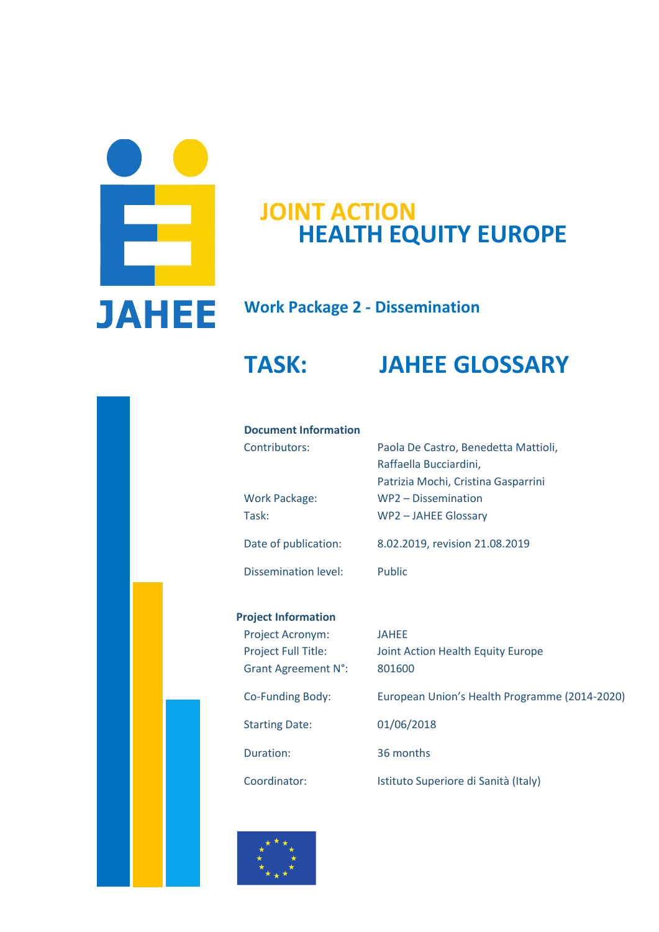

## **HEALTH EQUITY EUROPE JOINT ACTION**

## **Work Package 2 - Dissemination**

# **TASK: JAHEE GLOSSARY**

#### **Document Information**

| Contributors:        | Paola De Castro, Benedetta Mattioli, |
|----------------------|--------------------------------------|
|                      | Raffaella Bucciardini,               |
|                      | Patrizia Mochi, Cristina Gasparrini  |
| <b>Work Package:</b> | WP2 - Dissemination                  |
| Task:                | WP2-JAHEE Glossary                   |
| Date of publication: | 8.02.2019, revision 21.08.2019       |
| Dissemination level: | Public                               |

## **Project Information**

| Project Acronym:<br><b>Project Full Title:</b><br><b>Grant Agreement N°:</b> | <b>JAHEE</b><br>Joint Action Health Equity Europe<br>801600 |
|------------------------------------------------------------------------------|-------------------------------------------------------------|
| Co-Funding Body:                                                             | European Union's Health Programme (2014-2020)               |
| <b>Starting Date:</b>                                                        | 01/06/2018                                                  |
| Duration:                                                                    | 36 months                                                   |
| Coordinator:                                                                 | Istituto Superiore di Sanità (Italy)                        |

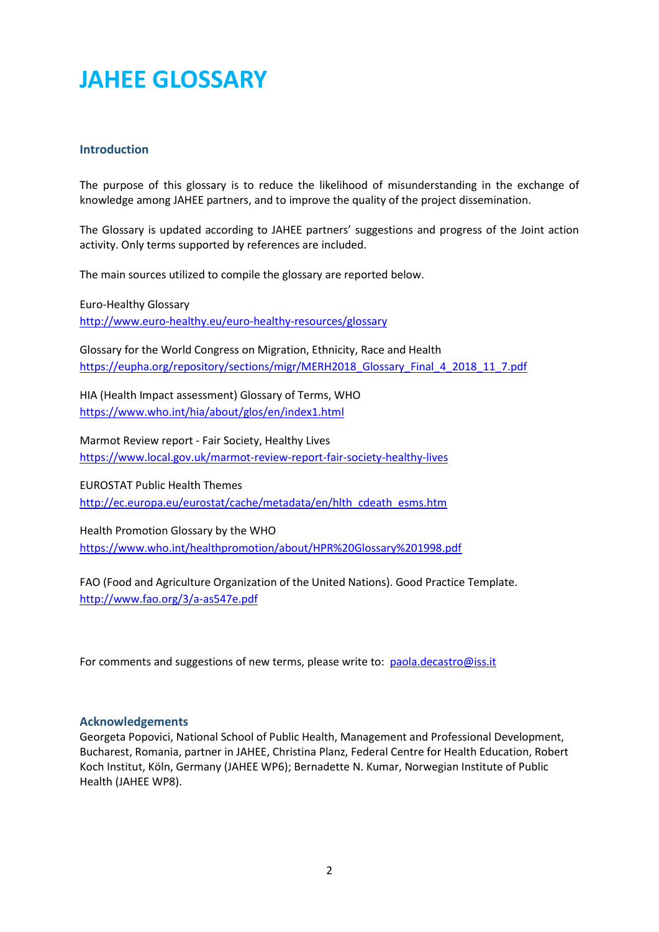# **JAHEE GLOSSARY**

## **Introduction**

The purpose of this glossary is to reduce the likelihood of misunderstanding in the exchange of knowledge among JAHEE partners, and to improve the quality of the project dissemination.

The Glossary is updated according to JAHEE partners' suggestions and progress of the Joint action activity. Only terms supported by references are included.

The main sources utilized to compile the glossary are reported below.

Euro-Healthy Glossary <http://www.euro-healthy.eu/euro-healthy-resources/glossary>

Glossary for the World Congress on Migration, Ethnicity, Race and Health [https://eupha.org/repository/sections/migr/MERH2018\\_Glossary\\_Final\\_4\\_2018\\_11\\_7.pdf](https://eupha.org/repository/sections/migr/MERH2018_Glossary_Final_4_2018_11_7.pdf)

HIA (Health Impact assessment) Glossary of Terms, WHO <https://www.who.int/hia/about/glos/en/index1.html>

Marmot Review report - Fair Society, Healthy Lives <https://www.local.gov.uk/marmot-review-report-fair-society-healthy-lives>

EUROSTAT Public Health Themes [http://ec.europa.eu/eurostat/cache/metadata/en/hlth\\_cdeath\\_esms.htm](http://ec.europa.eu/eurostat/cache/metadata/en/hlth_cdeath_esms.htm) 

Health Promotion Glossary by the WHO <https://www.who.int/healthpromotion/about/HPR%20Glossary%201998.pdf>

FAO (Food and Agriculture Organization of the United Nations). Good Practice Template. <http://www.fao.org/3/a-as547e.pdf>

For comments and suggestions of new terms, please write to: [paola.decastro@iss.it](mailto:paola.decastro@iss.it)

#### **Acknowledgements**

Georgeta Popovici, National School of Public Health, Management and Professional Development, Bucharest, Romania, partner in JAHEE, Christina Planz, Federal Centre for Health Education, Robert Koch Institut, Köln, Germany (JAHEE WP6); Bernadette N. Kumar, Norwegian Institute of Public Health (JAHEE WP8).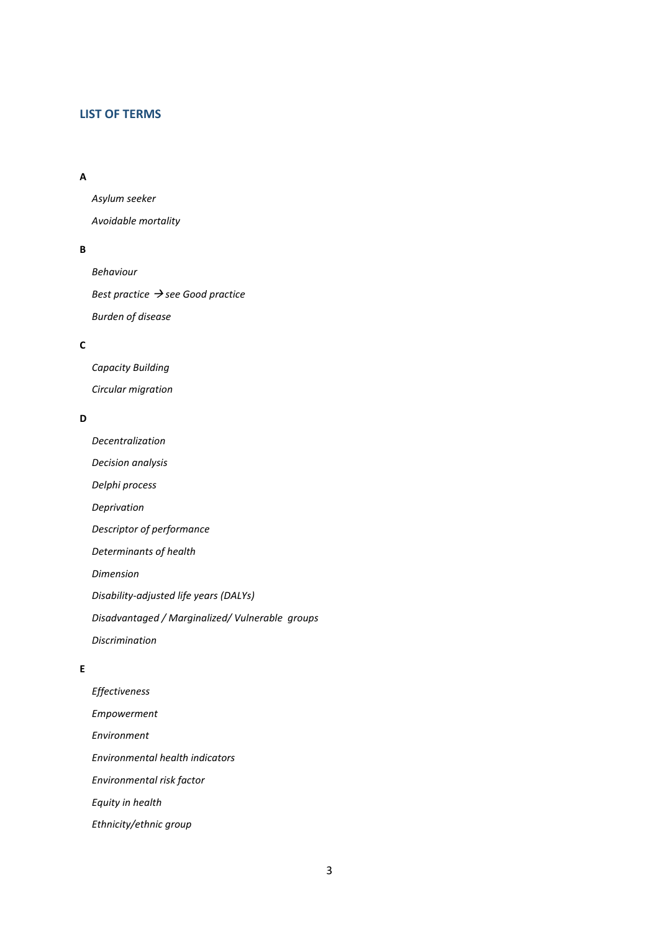#### **LIST OF TERMS**

### **[A](#page-6-0)**

*[Asylum seeker](#page-6-1)*

*[Avoidable mortality](#page-6-2)*

#### **[B](#page-6-3)**

*[Behaviour](#page-6-4) Best practice → [see Good practice](#page-6-5) [Burden of disease](#page-6-6)*

#### **[C](#page-6-7)**

*[Capacity Building](#page-6-8) [Circular migration](#page-7-0)*

#### **[D](#page-7-1)**

*[Decentralization](#page-7-2) [Decision analysis](#page-7-3) [Delphi process](#page-7-4) [Deprivation](#page-7-5) [Descriptor of performance](#page-8-0) [Determinants of health](#page-8-1) [Dimension](#page-8-2) [Disability-adjusted life years \(DALYs\)](#page-8-3) [Disadvantaged / Marginalized/ Vulnerable groups](#page-8-4) [Discrimination](#page-9-0)*

## **[E](#page-9-1)**

*[Effectiveness](#page-9-2) [Empowerment](#page-9-3) [Environment](#page-9-4) [Environmental health indicators](#page-9-5) [Environmental risk factor](#page-10-0) [Equity in health](#page-10-1) [Ethnicity/ethnic group](#page-10-2)*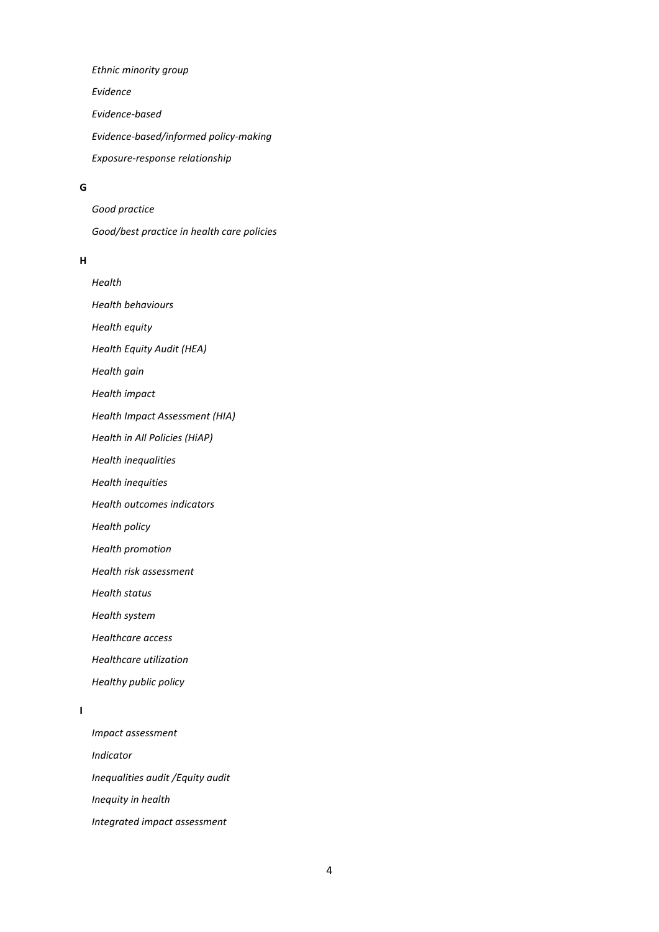*[Ethnic minority group](#page-10-3) [Evidence](#page-10-4) [Evidence-based](#page-10-5) [Evidence-based/informed policy-making](#page-10-6) [Exposure-response relationship](#page-11-0)*

#### **[G](#page-11-1)**

*[Good practice](#page-11-2) [Good/best practice in health care policies](#page-11-3)*

#### **[H](#page-11-4)**

*[Health](#page-11-5) [Health behaviours](#page-11-6) [Health equity](#page-11-7) [Health Equity Audit \(HEA\)](#page-12-0) [Health gain](#page-12-1) [Health impact](#page-12-2) [Health Impact Assessment \(HIA\)](#page-12-3) [Health in All Policies \(HiAP\)](#page-12-4) [Health inequalities](#page-12-5) [Health inequities](#page-13-0) [Health outcomes indicators](#page-13-1) [Health policy](#page-13-2) [Health promotion](#page-13-3) [Health risk assessment](#page-13-4) [Health status](#page-14-0)*

*[Health system](#page-14-1)*

*[Healthcare access](#page-14-2)*

*[Healthcare utilization](#page-14-3)*

*[Healthy public policy](#page-14-4)*

#### **[I](#page-14-5)**

*[Impact assessment](#page-14-6) [Indicator](#page-14-7) [Inequalities audit /Equity audit](#page-15-0) [Inequity in health](#page-15-1) [Integrated impact assessment](#page-15-2)*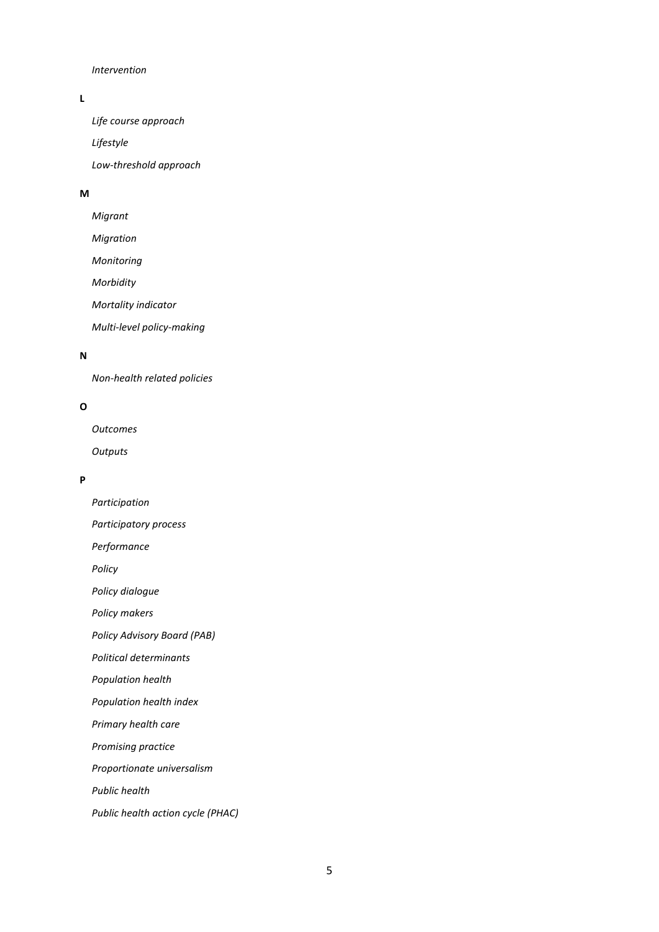#### *[Intervention](#page-15-3)*

### **[L](#page-15-4)**

*[Life course approach](#page-15-5) [Lifestyle](#page-15-6) [Low-threshold approach](#page-15-7)*

#### **[M](#page-16-0)**

*[Migrant](#page-16-1) [Migration](#page-16-2) [Monitoring](#page-16-3) [Morbidity](#page-16-4) [Mortality indicator](#page-16-5) [Multi-level policy-making](#page-16-6)*

#### **[N](#page-17-0)**

*[Non-health related policies](#page-17-1)*

#### **[O](#page-17-2)**

*[Outcomes](#page-17-3) [Outputs](#page-17-4)*

#### **[P](#page-17-5)**

*[Participation](#page-17-6)*

*[Participatory process](#page-17-7)*

*[Performance](#page-18-0)*

*[Policy](#page-18-1)*

*[Policy dialogue](#page-18-2)*

*[Policy makers](#page-18-3)*

*[Policy Advisory Board \(PAB\)](#page-18-4)*

*[Political determinants](#page-18-5)*

*[Population health](#page-18-6)*

*[Population health index](#page-19-0)*

*[Primary health care](#page-19-1)*

*[Promising practice](#page-19-2)*

*[Proportionate universalism](#page-19-3)*

*[Public health](#page-19-4)*

*[Public health action cycle \(PHAC\)](#page-20-0)*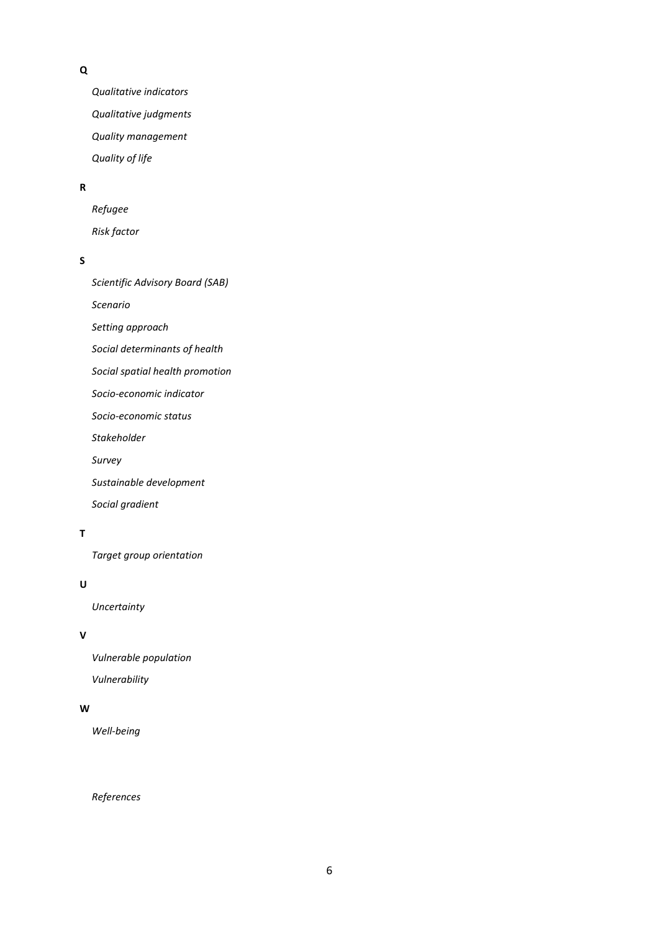#### **[Q](#page-20-1)**

*[Qualitative indicators](#page-20-2) [Qualitative judgments](#page-20-3) [Quality management](#page-20-4) [Quality of life](#page-21-0)*

#### **[R](#page-21-1)**

*[Refugee](#page-21-2) [Risk factor](#page-21-3)*

#### **[S](#page-21-4)**

*[Scientific Advisory Board \(SAB\)](#page-21-5) [Scenario](#page-21-6) [Setting approach](#page-21-7) [Social determinants of health](#page-22-0) [Social spatial health promotion](#page-22-1) [Socio-economic indicator](#page-22-2) [Socio-economic status](#page-22-3) [Stakeholder](#page-22-4) [Survey](#page-22-5)*

*[Sustainable development](#page-22-6)*

*[Social gradient](#page-23-0)*

## **[T](#page-23-1)**

*[Target group orientation](#page-23-2)*

#### **[U](#page-23-3)**

*[Uncertainty](#page-23-4)*

#### **[V](#page-23-5)**

*[Vulnerable population](#page-23-6) [Vulnerability](#page-24-0)*

#### **[W](#page-24-1)**

*[Well-being](#page-24-2)*

#### *[References](#page-25-0)*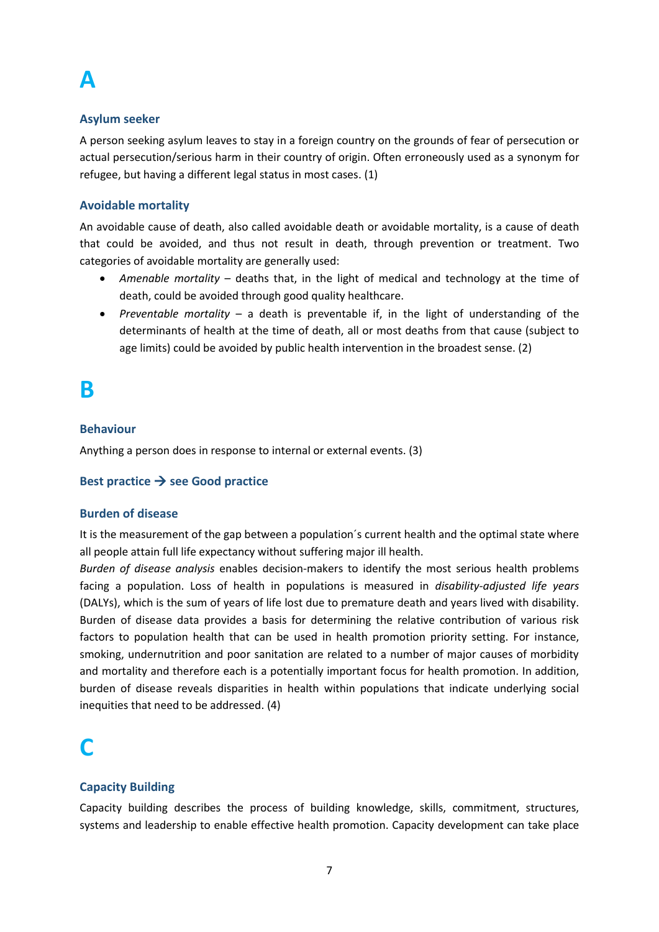# <span id="page-6-0"></span>**A**

## <span id="page-6-1"></span>**Asylum seeker**

A person seeking asylum leaves to stay in a foreign country on the grounds of fear of persecution or actual persecution/serious harm in their country of origin. Often erroneously used as a synonym for refugee, but having a different legal status in most cases. (1)

## <span id="page-6-2"></span>**Avoidable mortality**

An avoidable cause of death, also called avoidable death or avoidable mortality, is a cause of death that could be avoided, and thus not result in death, through prevention or treatment. Two categories of avoidable mortality are generally used:

- *Amenable mortality* deaths that, in the light of medical and technology at the time of death, could be avoided through good quality healthcare.
- *Preventable mortality* a death is preventable if, in the light of understanding of the determinants of health at the time of death, all or most deaths from that cause (subject to age limits) could be avoided by public health intervention in the broadest sense. (2)

## <span id="page-6-3"></span>**B**

## <span id="page-6-4"></span>**Behaviour**

Anything a person does in response to internal or external events. (3)

## <span id="page-6-5"></span>**Best practice → see Good practice**

## <span id="page-6-6"></span>**Burden of disease**

It is the measurement of the gap between a population´s current health and the optimal state where all people attain full life expectancy without suffering major ill health.

*Burden of disease analysis* enables decision-makers to identify the most serious health problems facing a population. Loss of health in populations is measured in *disability-adjusted life years* (DALYs), which is the sum of years of life lost due to premature death and years lived with disability. Burden of disease data provides a basis for determining the relative contribution of various risk factors to population health that can be used in health promotion priority setting. For instance, smoking, undernutrition and poor sanitation are related to a number of major causes of morbidity and mortality and therefore each is a potentially important focus for health promotion. In addition, burden of disease reveals disparities in health within populations that indicate underlying social inequities that need to be addressed. (4)

# <span id="page-6-7"></span>**C**

## <span id="page-6-8"></span>**Capacity Building**

Capacity building describes the process of building knowledge, skills, commitment, structures, systems and leadership to enable effective health promotion. Capacity development can take place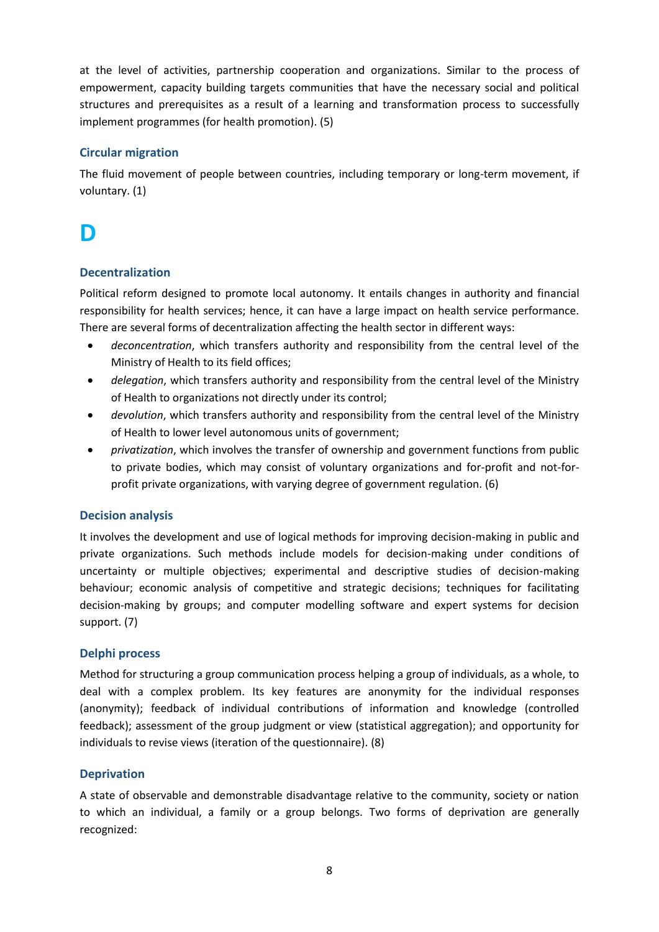at the level of activities, partnership cooperation and organizations. Similar to the process of empowerment, capacity building targets communities that have the necessary social and political structures and prerequisites as a result of a learning and transformation process to successfully implement programmes (for health promotion). (5)

## <span id="page-7-0"></span>**Circular migration**

The fluid movement of people between countries, including temporary or long-term movement, if voluntary. (1)

## <span id="page-7-1"></span>**D**

## <span id="page-7-2"></span>**Decentralization**

Political reform designed to promote local autonomy. It entails changes in authority and financial responsibility for health services; hence, it can have a large impact on health service performance. There are several forms of decentralization affecting the health sector in different ways:

- *deconcentration*, which transfers authority and responsibility from the central level of the Ministry of Health to its field offices;
- *delegation*, which transfers authority and responsibility from the central level of the Ministry of Health to organizations not directly under its control;
- *devolution*, which transfers authority and responsibility from the central level of the Ministry of Health to lower level autonomous units of government;
- *privatization*, which involves the transfer of ownership and government functions from public to private bodies, which may consist of voluntary organizations and for-profit and not-forprofit private organizations, with varying degree of government regulation. (6)

## <span id="page-7-3"></span>**Decision analysis**

It involves the development and use of logical methods for improving decision-making in public and private organizations. Such methods include models for decision-making under conditions of uncertainty or multiple objectives; experimental and descriptive studies of decision-making behaviour; economic analysis of competitive and strategic decisions; techniques for facilitating decision-making by groups; and computer modelling software and expert systems for decision support. (7)

## <span id="page-7-4"></span>**Delphi process**

Method for structuring a group communication process helping a group of individuals, as a whole, to deal with a complex problem. Its key features are anonymity for the individual responses (anonymity); feedback of individual contributions of information and knowledge (controlled feedback); assessment of the group judgment or view (statistical aggregation); and opportunity for individuals to revise views (iteration of the questionnaire). (8)

## <span id="page-7-5"></span>**Deprivation**

A state of observable and demonstrable disadvantage relative to the community, society or nation to which an individual, a family or a group belongs. Two forms of deprivation are generally recognized: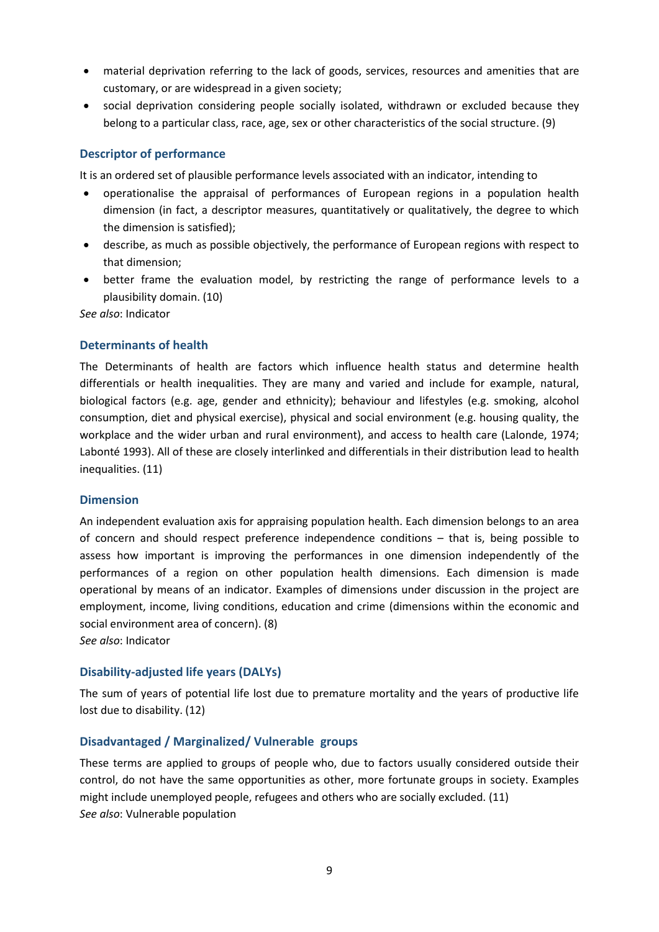- material deprivation referring to the lack of goods, services, resources and amenities that are customary, or are widespread in a given society;
- social deprivation considering people socially isolated, withdrawn or excluded because they belong to a particular class, race, age, sex or other characteristics of the social structure. (9)

## <span id="page-8-0"></span>**Descriptor of performance**

It is an ordered set of plausible performance levels associated with an indicator, intending to

- operationalise the appraisal of performances of European regions in a population health dimension (in fact, a descriptor measures, quantitatively or qualitatively, the degree to which the dimension is satisfied);
- describe, as much as possible objectively, the performance of European regions with respect to that dimension;
- better frame the evaluation model, by restricting the range of performance levels to a plausibility domain. (10)

*See also*: Indicator

#### <span id="page-8-1"></span>**Determinants of health**

The Determinants of health are factors which influence health status and determine health differentials or health inequalities. They are many and varied and include for example, natural, biological factors (e.g. age, gender and ethnicity); behaviour and lifestyles (e.g. smoking, alcohol consumption, diet and physical exercise), physical and social environment (e.g. housing quality, the workplace and the wider urban and rural environment), and access to health care (Lalonde, 1974; Labonté 1993). All of these are closely interlinked and differentials in their distribution lead to health inequalities. (11)

#### <span id="page-8-2"></span>**Dimension**

An independent evaluation axis for appraising population health. Each dimension belongs to an area of concern and should respect preference independence conditions – that is, being possible to assess how important is improving the performances in one dimension independently of the performances of a region on other population health dimensions. Each dimension is made operational by means of an indicator. Examples of dimensions under discussion in the project are employment, income, living conditions, education and crime (dimensions within the economic and social environment area of concern). (8)

*See also*: Indicator

#### <span id="page-8-3"></span>**Disability-adjusted life years (DALYs)**

The sum of years of potential life lost due to premature mortality and the years of productive life lost due to disability. (12)

#### <span id="page-8-4"></span>**Disadvantaged / Marginalized/ Vulnerable groups**

These terms are applied to groups of people who, due to factors usually considered outside their control, do not have the same opportunities as other, more fortunate groups in society. Examples might include unemployed people, refugees and others who are socially excluded. (11) *See also*: Vulnerable population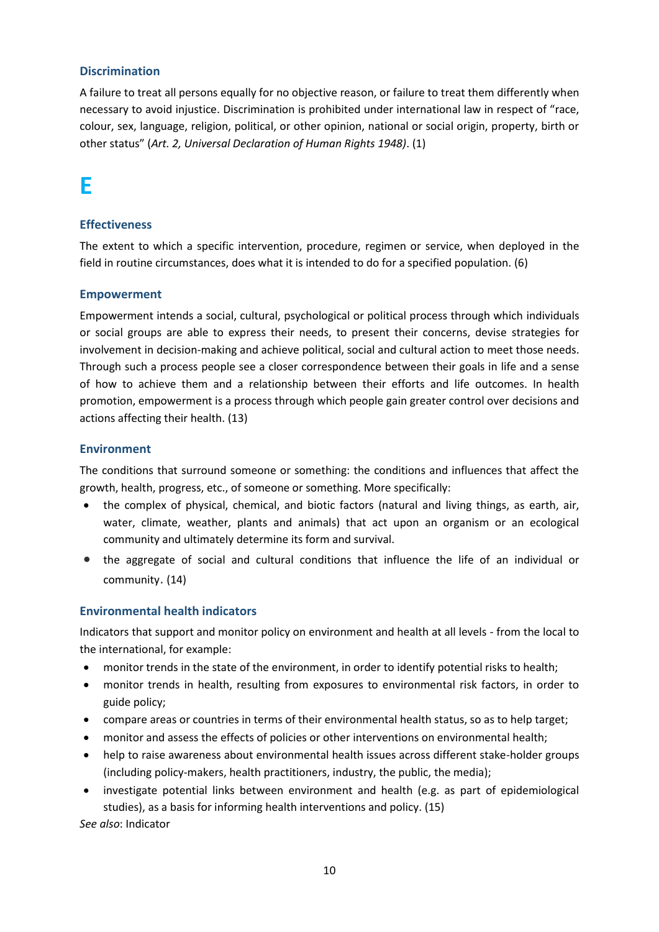## <span id="page-9-0"></span>**Discrimination**

A failure to treat all persons equally for no objective reason, or failure to treat them differently when necessary to avoid injustice. Discrimination is prohibited under international law in respect of "race, colour, sex, language, religion, political, or other opinion, national or social origin, property, birth or other status" (*Art. 2, Universal Declaration of Human Rights 1948)*. (1)

## <span id="page-9-1"></span>**E**

## <span id="page-9-2"></span>**Effectiveness**

The extent to which a specific intervention, procedure, regimen or service, when deployed in the field in routine circumstances, does what it is intended to do for a specified population. (6)

## <span id="page-9-3"></span>**Empowerment**

Empowerment intends a social, cultural, psychological or political process through which individuals or social groups are able to express their needs, to present their concerns, devise strategies for involvement in decision-making and achieve political, social and cultural action to meet those needs. Through such a process people see a closer correspondence between their goals in life and a sense of how to achieve them and a relationship between their efforts and life outcomes. In health promotion, empowerment is a process through which people gain greater control over decisions and actions affecting their health. (13)

#### <span id="page-9-4"></span>**Environment**

The conditions that surround someone or something: the conditions and influences that affect the growth, health, progress, etc., of someone or something. More specifically:

- the complex of physical, chemical, and biotic factors (natural and living things, as earth, air, water, climate, weather, plants and animals) that act upon an organism or an ecological community and ultimately determine its form and survival.
- the aggregate of social and cultural conditions that influence the life of an individual or community. (14)

## <span id="page-9-5"></span>**Environmental health indicators**

Indicators that support and monitor policy on environment and health at all levels - from the local to the international, for example:

- monitor trends in the state of the environment, in order to identify potential risks to health;
- monitor trends in health, resulting from exposures to environmental risk factors, in order to guide policy;
- compare areas or countries in terms of their environmental health status, so as to help target;
- monitor and assess the effects of policies or other interventions on environmental health;
- help to raise awareness about environmental health issues across different stake-holder groups (including policy-makers, health practitioners, industry, the public, the media);
- investigate potential links between environment and health (e.g. as part of epidemiological studies), as a basis for informing health interventions and policy. (15)

*See also*: Indicator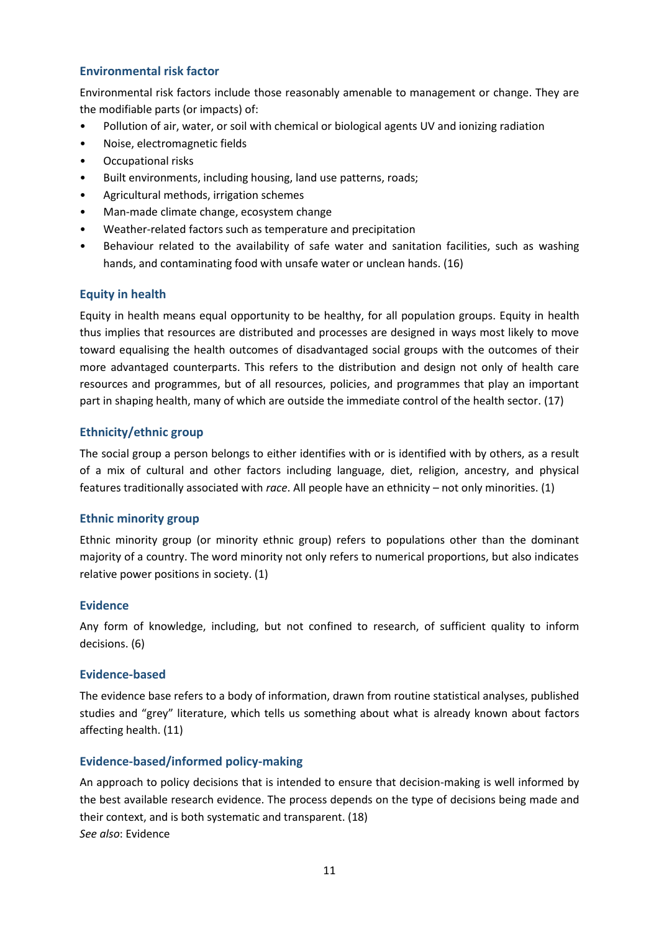## <span id="page-10-0"></span>**Environmental risk factor**

Environmental risk factors include those reasonably amenable to management or change. They are the modifiable parts (or impacts) of:

- Pollution of air, water, or soil with chemical or biological agents UV and ionizing radiation
- Noise, electromagnetic fields
- Occupational risks
- Built environments, including housing, land use patterns, roads;
- Agricultural methods, irrigation schemes
- Man-made climate change, ecosystem change
- Weather-related factors such as temperature and precipitation
- Behaviour related to the availability of safe water and sanitation facilities, such as washing hands, and contaminating food with unsafe water or unclean hands. (16)

#### <span id="page-10-1"></span>**Equity in health**

Equity in health means equal opportunity to be healthy, for all population groups. Equity in health thus implies that resources are distributed and processes are designed in ways most likely to move toward equalising the health outcomes of disadvantaged social groups with the outcomes of their more advantaged counterparts. This refers to the distribution and design not only of health care resources and programmes, but of all resources, policies, and programmes that play an important part in shaping health, many of which are outside the immediate control of the health sector. (17)

## <span id="page-10-2"></span>**Ethnicity/ethnic group**

The social group a person belongs to either identifies with or is identified with by others, as a result of a mix of cultural and other factors including language, diet, religion, ancestry, and physical features traditionally associated with *race*. All people have an ethnicity – not only minorities. (1)

#### <span id="page-10-3"></span>**Ethnic minority group**

Ethnic minority group (or minority ethnic group) refers to populations other than the dominant majority of a country. The word minority not only refers to numerical proportions, but also indicates relative power positions in society. (1)

#### <span id="page-10-4"></span>**Evidence**

Any form of knowledge, including, but not confined to research, of sufficient quality to inform decisions. (6)

#### <span id="page-10-5"></span>**Evidence-based**

The evidence base refers to a body of information, drawn from routine statistical analyses, published studies and "grey" literature, which tells us something about what is already known about factors affecting health. (11)

#### <span id="page-10-6"></span>**Evidence-based/informed policy-making**

An approach to policy decisions that is intended to ensure that decision-making is well informed by the best available research evidence. The process depends on the type of decisions being made and their context, and is both systematic and transparent. (18) *See also*: Evidence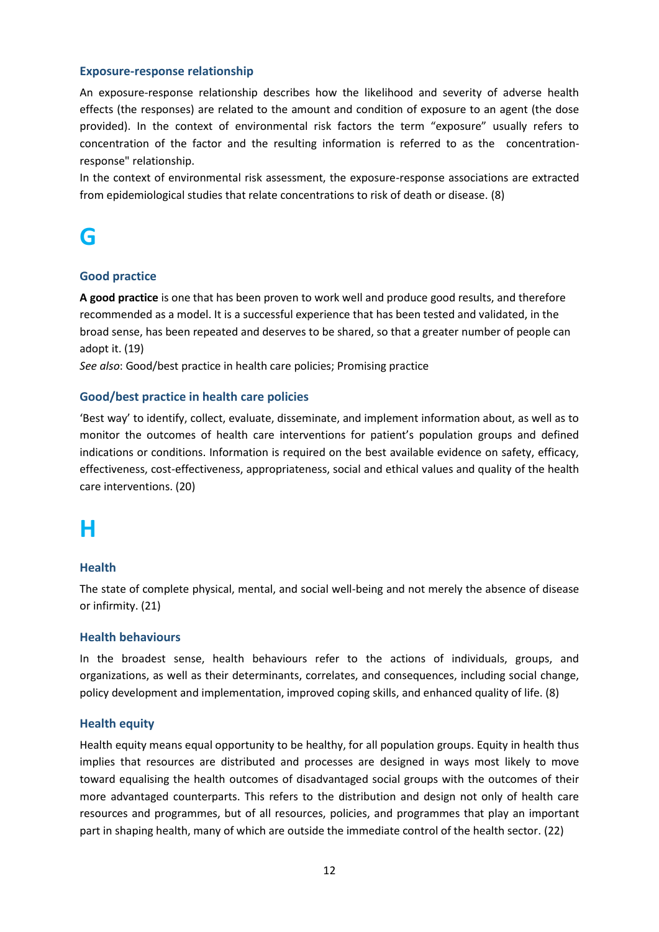#### <span id="page-11-0"></span>**Exposure-response relationship**

An exposure-response relationship describes how the likelihood and severity of adverse health effects (the responses) are related to the amount and condition of exposure to an agent (the dose provided). In the context of environmental risk factors the term "exposure" usually refers to concentration of the factor and the resulting information is referred to as the concentrationresponse" relationship.

In the context of environmental risk assessment, the exposure-response associations are extracted from epidemiological studies that relate concentrations to risk of death or disease. (8)

## <span id="page-11-1"></span>**G**

#### <span id="page-11-2"></span>**Good practice**

**A good practice** is one that has been proven to work well and produce good results, and therefore recommended as a model. It is a successful experience that has been tested and validated, in the broad sense, has been repeated and deserves to be shared, so that a greater number of people can adopt it. (19)

*See also*: Good/best practice in health care policies; Promising practice

#### <span id="page-11-3"></span>**Good/best practice in health care policies**

'Best way' to identify, collect, evaluate, disseminate, and implement information about, as well as to monitor the outcomes of health care interventions for patient's population groups and defined indications or conditions. Information is required on the best available evidence on safety, efficacy, effectiveness, cost-effectiveness, appropriateness, social and ethical values and quality of the health care interventions. (20)

## <span id="page-11-4"></span>**H**

#### <span id="page-11-5"></span>**Health**

The state of complete physical, mental, and social well-being and not merely the absence of disease or infirmity. (21)

#### <span id="page-11-6"></span>**Health behaviours**

In the broadest sense, health behaviours refer to the actions of individuals, groups, and organizations, as well as their determinants, correlates, and consequences, including social change, policy development and implementation, improved coping skills, and enhanced quality of life. (8)

#### <span id="page-11-7"></span>**Health equity**

Health equity means equal opportunity to be healthy, for all population groups. Equity in health thus implies that resources are distributed and processes are designed in ways most likely to move toward equalising the health outcomes of disadvantaged social groups with the outcomes of their more advantaged counterparts. This refers to the distribution and design not only of health care resources and programmes, but of all resources, policies, and programmes that play an important part in shaping health, many of which are outside the immediate control of the health sector. (22)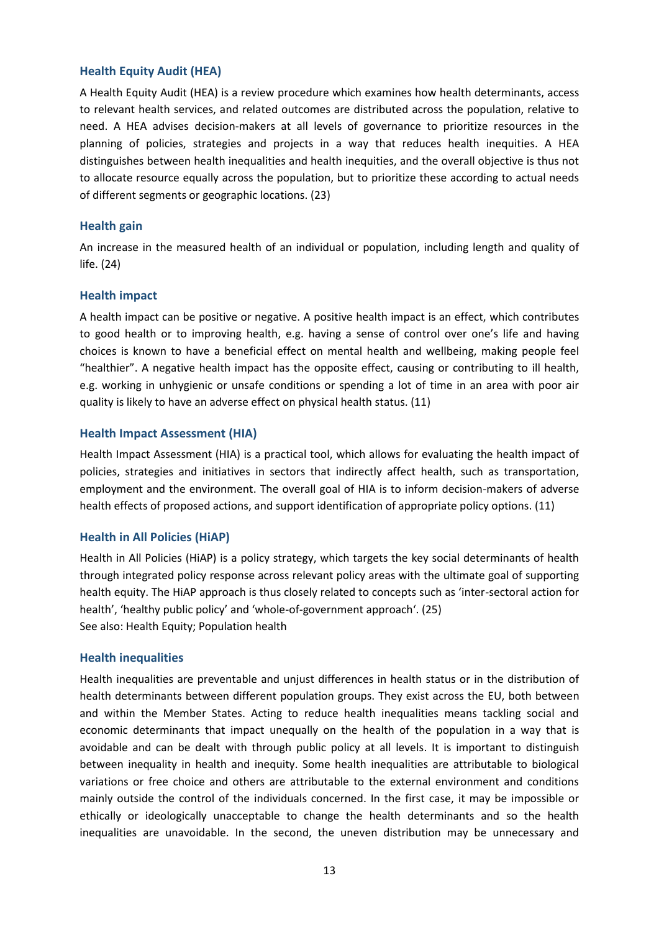#### <span id="page-12-0"></span>**Health Equity Audit (HEA)**

A Health Equity Audit (HEA) is a review procedure which examines how health determinants, access to relevant health services, and related outcomes are distributed across the population, relative to need. A HEA advises decision-makers at all levels of governance to prioritize resources in the planning of policies, strategies and projects in a way that reduces health inequities. A HEA distinguishes between health inequalities and health inequities, and the overall objective is thus not to allocate resource equally across the population, but to prioritize these according to actual needs of different segments or geographic locations. (23)

#### <span id="page-12-1"></span>**Health gain**

An increase in the measured health of an individual or population, including length and quality of life. (24)

#### <span id="page-12-2"></span>**Health impact**

A health impact can be positive or negative. A positive health impact is an effect, which contributes to good health or to improving health, e.g. having a sense of control over one's life and having choices is known to have a beneficial effect on mental health and wellbeing, making people feel "healthier". A negative health impact has the opposite effect, causing or contributing to ill health, e.g. working in unhygienic or unsafe conditions or spending a lot of time in an area with poor air quality is likely to have an adverse effect on physical health status. (11)

#### <span id="page-12-3"></span>**Health Impact Assessment (HIA)**

Health Impact Assessment (HIA) is a practical tool, which allows for evaluating the health impact of policies, strategies and initiatives in sectors that indirectly affect health, such as transportation, employment and the environment. The overall goal of HIA is to inform decision-makers of adverse health effects of proposed actions, and support identification of appropriate policy options. (11)

## <span id="page-12-4"></span>**Health in All Policies (HiAP)**

Health in All Policies (HiAP) is a policy strategy, which targets the key social determinants of health through integrated policy response across relevant policy areas with the ultimate goal of supporting health equity. The HiAP approach is thus closely related to concepts such as 'inter-sectoral action for health', 'healthy public policy' and 'whole-of-government approach'. (25) See also: Health Equity; Population health

#### <span id="page-12-5"></span>**Health inequalities**

Health inequalities are preventable and unjust differences in health status or in the distribution of health determinants between different population groups. They exist across the EU, both between and within the Member States. Acting to reduce health inequalities means tackling social and economic determinants that impact unequally on the health of the population in a way that is avoidable and can be dealt with through public policy at all levels. It is important to distinguish between inequality in health and inequity. Some health inequalities are attributable to biological variations or free choice and others are attributable to the external environment and conditions mainly outside the control of the individuals concerned. In the first case, it may be impossible or ethically or ideologically unacceptable to change the health determinants and so the health inequalities are unavoidable. In the second, the uneven distribution may be unnecessary and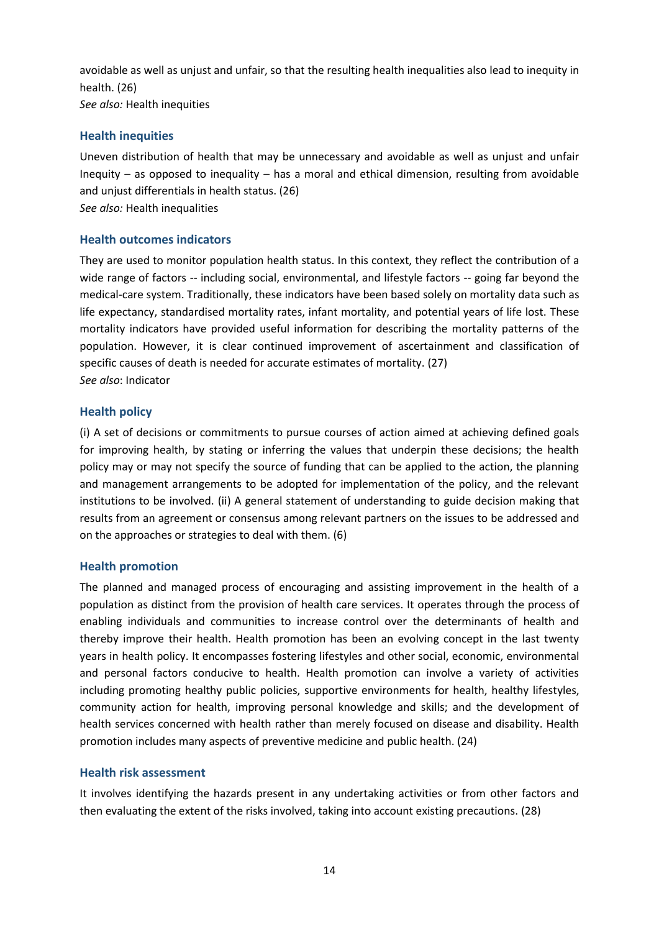avoidable as well as unjust and unfair, so that the resulting health inequalities also lead to inequity in health. (26) *See also:* Health inequities

#### <span id="page-13-0"></span>**Health inequities**

Uneven distribution of health that may be unnecessary and avoidable as well as unjust and unfair Inequity – as opposed to inequality – has a moral and ethical dimension, resulting from avoidable and unjust differentials in health status. (26) *See also:* Health inequalities

#### <span id="page-13-1"></span>**Health outcomes indicators**

They are used to monitor population health status. In this context, they reflect the contribution of a wide range of factors -- including social, environmental, and lifestyle factors -- going far beyond the medical-care system. Traditionally, these indicators have been based solely on mortality data such as life expectancy, standardised mortality rates, infant mortality, and potential years of life lost. These mortality indicators have provided useful information for describing the mortality patterns of the population. However, it is clear continued improvement of ascertainment and classification of specific causes of death is needed for accurate estimates of mortality. (27) *See also*: Indicator

#### <span id="page-13-2"></span>**Health policy**

(i) A set of decisions or commitments to pursue courses of action aimed at achieving defined goals for improving health, by stating or inferring the values that underpin these decisions; the health policy may or may not specify the source of funding that can be applied to the action, the planning and management arrangements to be adopted for implementation of the policy, and the relevant institutions to be involved. (ii) A general statement of understanding to guide decision making that results from an agreement or consensus among relevant partners on the issues to be addressed and on the approaches or strategies to deal with them. (6)

#### <span id="page-13-3"></span>**Health promotion**

The planned and managed process of encouraging and assisting improvement in the health of a population as distinct from the provision of health care services. It operates through the process of enabling individuals and communities to increase control over the determinants of health and thereby improve their health. Health promotion has been an evolving concept in the last twenty years in health policy. It encompasses fostering lifestyles and other social, economic, environmental and personal factors conducive to health. Health promotion can involve a variety of activities including promoting healthy public policies, supportive environments for health, healthy lifestyles, community action for health, improving personal knowledge and skills; and the development of health services concerned with health rather than merely focused on disease and disability. Health promotion includes many aspects of preventive medicine and public health. (24)

#### <span id="page-13-4"></span>**Health risk assessment**

It involves identifying the hazards present in any undertaking activities or from other factors and then evaluating the extent of the risks involved, taking into account existing precautions. (28)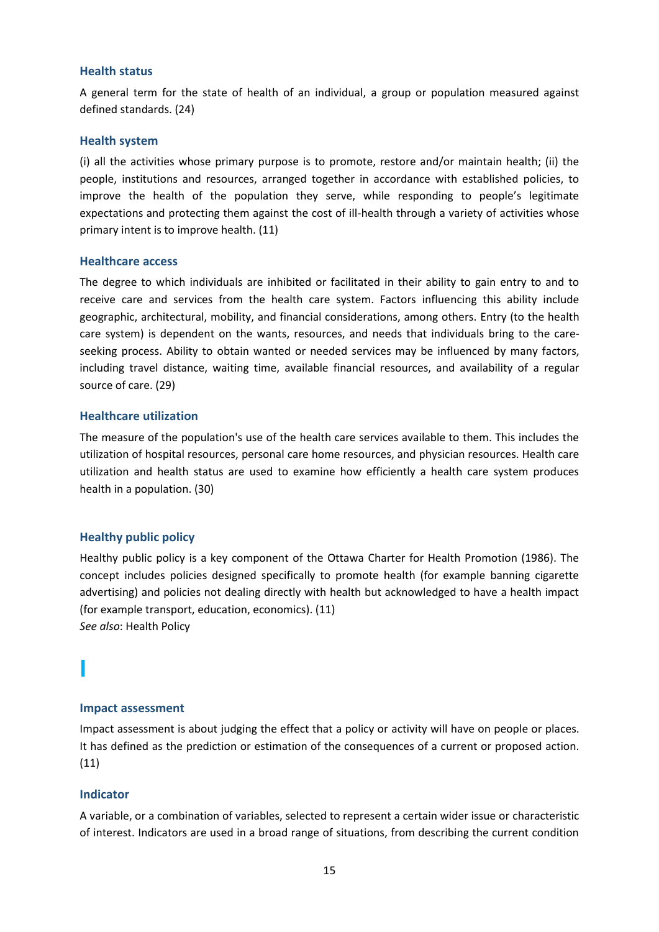#### <span id="page-14-0"></span>**Health status**

A general term for the state of health of an individual, a group or population measured against defined standards. (24)

#### <span id="page-14-1"></span>**Health system**

(i) all the activities whose primary purpose is to promote, restore and/or maintain health; (ii) the people, institutions and resources, arranged together in accordance with established policies, to improve the health of the population they serve, while responding to people's legitimate expectations and protecting them against the cost of ill-health through a variety of activities whose primary intent is to improve health. (11)

#### <span id="page-14-2"></span>**Healthcare access**

The degree to which individuals are inhibited or facilitated in their ability to gain entry to and to receive care and services from the health care system. Factors influencing this ability include geographic, architectural, mobility, and financial considerations, among others. Entry (to the health care system) is dependent on the wants, resources, and needs that individuals bring to the careseeking process. Ability to obtain wanted or needed services may be influenced by many factors, including travel distance, waiting time, available financial resources, and availability of a regular source of care. (29)

## <span id="page-14-3"></span>**Healthcare utilization**

The measure of the population's use of the health care services available to them. This includes the utilization of hospital resources, personal care home resources, and physician resources. Health care utilization and health status are used to examine how efficiently a health care system produces health in a population. (30)

## <span id="page-14-4"></span>**Healthy public policy**

Healthy public policy is a key component of the Ottawa Charter for Health Promotion (1986). The concept includes policies designed specifically to promote health (for example banning cigarette advertising) and policies not dealing directly with health but acknowledged to have a health impact (for example transport, education, economics). (11) *See also*: Health Policy

## <span id="page-14-6"></span>**Impact assessment**

Impact assessment is about judging the effect that a policy or activity will have on people or places. It has defined as the prediction or estimation of the consequences of a current or proposed action. (11)

## <span id="page-14-7"></span>**Indicator**

<span id="page-14-5"></span>**I**

A variable, or a combination of variables, selected to represent a certain wider issue or characteristic of interest. Indicators are used in a broad range of situations, from describing the current condition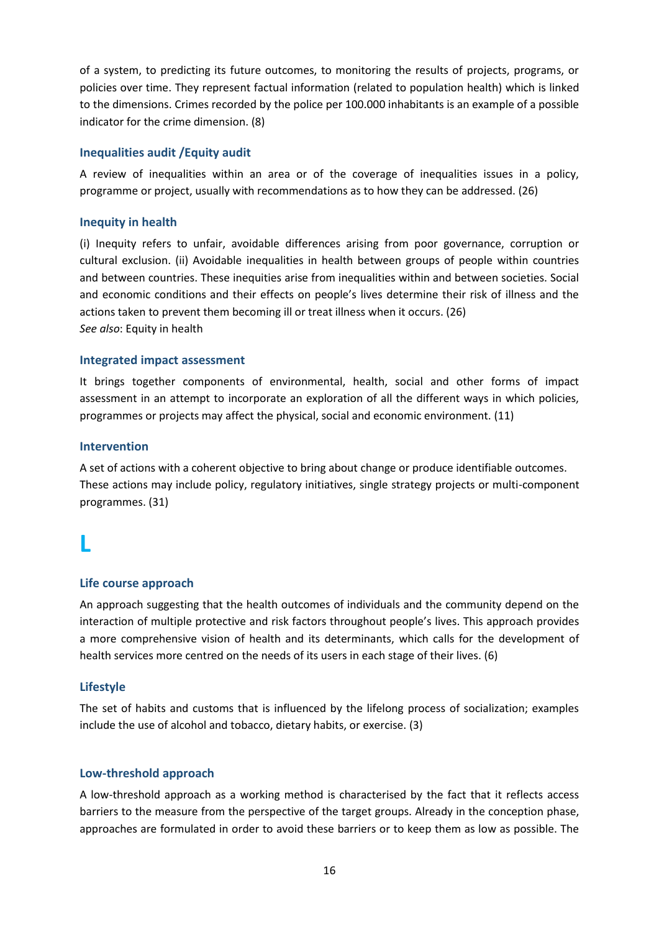of a system, to predicting its future outcomes, to monitoring the results of projects, programs, or policies over time. They represent factual information (related to population health) which is linked to the dimensions. Crimes recorded by the police per 100.000 inhabitants is an example of a possible indicator for the crime dimension. (8)

### <span id="page-15-0"></span>**Inequalities audit /Equity audit**

A review of inequalities within an area or of the coverage of inequalities issues in a policy, programme or project, usually with recommendations as to how they can be addressed. (26)

#### <span id="page-15-1"></span>**Inequity in health**

(i) Inequity refers to unfair, avoidable differences arising from poor governance, corruption or cultural exclusion. (ii) Avoidable inequalities in health between groups of people within countries and between countries. These inequities arise from inequalities within and between societies. Social and economic conditions and their effects on people's lives determine their risk of illness and the actions taken to prevent them becoming ill or treat illness when it occurs. (26) *See also*: Equity in health

#### <span id="page-15-2"></span>**Integrated impact assessment**

It brings together components of environmental, health, social and other forms of impact assessment in an attempt to incorporate an exploration of all the different ways in which policies, programmes or projects may affect the physical, social and economic environment. (11)

#### <span id="page-15-3"></span>**Intervention**

A set of actions with a coherent objective to bring about change or produce identifiable outcomes. These actions may include policy, regulatory initiatives, single strategy projects or multi-component programmes. (31)

## <span id="page-15-4"></span>**L**

## <span id="page-15-5"></span>**Life course approach**

An approach suggesting that the health outcomes of individuals and the community depend on the interaction of multiple protective and risk factors throughout people's lives. This approach provides a more comprehensive vision of health and its determinants, which calls for the development of health services more centred on the needs of its users in each stage of their lives. (6)

## <span id="page-15-6"></span>**Lifestyle**

The set of habits and customs that is influenced by the lifelong process of socialization; examples include the use of alcohol and tobacco, dietary habits, or exercise. (3)

#### <span id="page-15-7"></span>**Low-threshold approach**

A low-threshold approach as a working method is characterised by the fact that it reflects access barriers to the measure from the perspective of the target groups. Already in the conception phase, approaches are formulated in order to avoid these barriers or to keep them as low as possible. The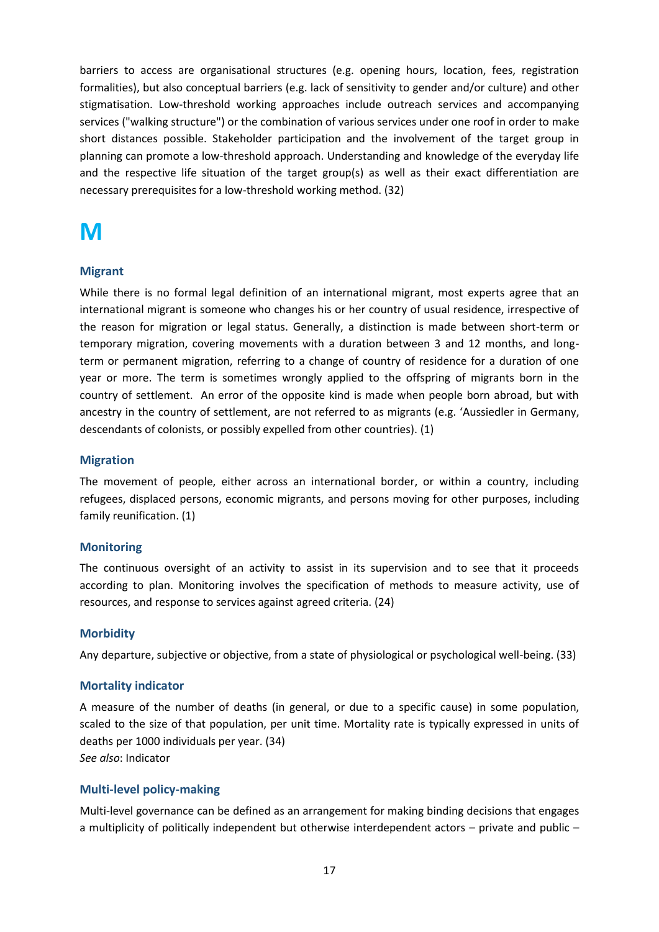barriers to access are organisational structures (e.g. opening hours, location, fees, registration formalities), but also conceptual barriers (e.g. lack of sensitivity to gender and/or culture) and other stigmatisation. Low-threshold working approaches include outreach services and accompanying services ("walking structure") or the combination of various services under one roof in order to make short distances possible. Stakeholder participation and the involvement of the target group in planning can promote a low-threshold approach. Understanding and knowledge of the everyday life and the respective life situation of the target group(s) as well as their exact differentiation are necessary prerequisites for a low-threshold working method. (32)

## <span id="page-16-0"></span>**M**

## <span id="page-16-1"></span>**Migrant**

While there is no formal legal definition of an international migrant, most experts agree that an international migrant is someone who changes his or her country of usual residence, irrespective of the reason for migration or legal status. Generally, a distinction is made between short-term or temporary migration, covering movements with a duration between 3 and 12 months, and longterm or permanent migration, referring to a change of country of residence for a duration of one year or more. The term is sometimes wrongly applied to the offspring of migrants born in the country of settlement. An error of the opposite kind is made when people born abroad, but with ancestry in the country of settlement, are not referred to as migrants (e.g. 'Aussiedler in Germany, descendants of colonists, or possibly expelled from other countries). (1)

## <span id="page-16-2"></span>**Migration**

The movement of people, either across an international border, or within a country, including refugees, displaced persons, economic migrants, and persons moving for other purposes, including family reunification. (1)

## <span id="page-16-3"></span>**Monitoring**

The continuous oversight of an activity to assist in its supervision and to see that it proceeds according to plan. Monitoring involves the specification of methods to measure activity, use of resources, and response to services against agreed criteria. (24)

## <span id="page-16-4"></span>**Morbidity**

Any departure, subjective or objective, from a state of physiological or psychological well-being. (33)

## <span id="page-16-5"></span>**Mortality indicator**

A measure of the number of deaths (in general, or due to a specific cause) in some population, scaled to the size of that population, per unit time. Mortality rate is typically expressed in units of deaths per 1000 individuals per year. (34) *See also*: Indicator

## <span id="page-16-6"></span>**Multi-level policy-making**

Multi-level governance can be defined as an arrangement for making binding decisions that engages a multiplicity of politically independent but otherwise interdependent actors – private and public –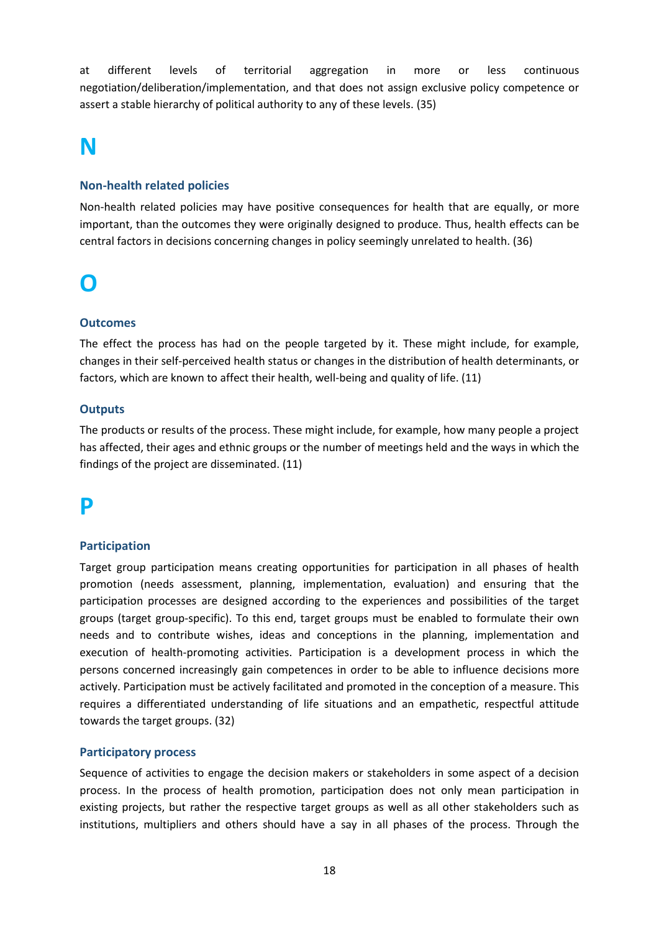at different levels of territorial aggregation in more or less continuous negotiation/deliberation/implementation, and that does not assign exclusive policy competence or assert a stable hierarchy of political authority to any of these levels. (35)

## <span id="page-17-0"></span>**N**

## <span id="page-17-1"></span>**Non-health related policies**

Non-health related policies may have positive consequences for health that are equally, or more important, than the outcomes they were originally designed to produce. Thus, health effects can be central factors in decisions concerning changes in policy seemingly unrelated to health. (36)

## <span id="page-17-2"></span>**O**

## <span id="page-17-3"></span>**Outcomes**

The effect the process has had on the people targeted by it. These might include, for example, changes in their self-perceived health status or changes in the distribution of health determinants, or factors, which are known to affect their health, well-being and quality of life. (11)

## <span id="page-17-4"></span>**Outputs**

The products or results of the process. These might include, for example, how many people a project has affected, their ages and ethnic groups or the number of meetings held and the ways in which the findings of the project are disseminated. (11)

## <span id="page-17-5"></span>**P**

## <span id="page-17-6"></span>**Participation**

Target group participation means creating opportunities for participation in all phases of health promotion (needs assessment, planning, implementation, evaluation) and ensuring that the participation processes are designed according to the experiences and possibilities of the target groups (target group-specific). To this end, target groups must be enabled to formulate their own needs and to contribute wishes, ideas and conceptions in the planning, implementation and execution of health-promoting activities. Participation is a development process in which the persons concerned increasingly gain competences in order to be able to influence decisions more actively. Participation must be actively facilitated and promoted in the conception of a measure. This requires a differentiated understanding of life situations and an empathetic, respectful attitude towards the target groups. (32)

#### <span id="page-17-7"></span>**Participatory process**

Sequence of activities to engage the decision makers or stakeholders in some aspect of a decision process. In the process of health promotion, participation does not only mean participation in existing projects, but rather the respective target groups as well as all other stakeholders such as institutions, multipliers and others should have a say in all phases of the process. Through the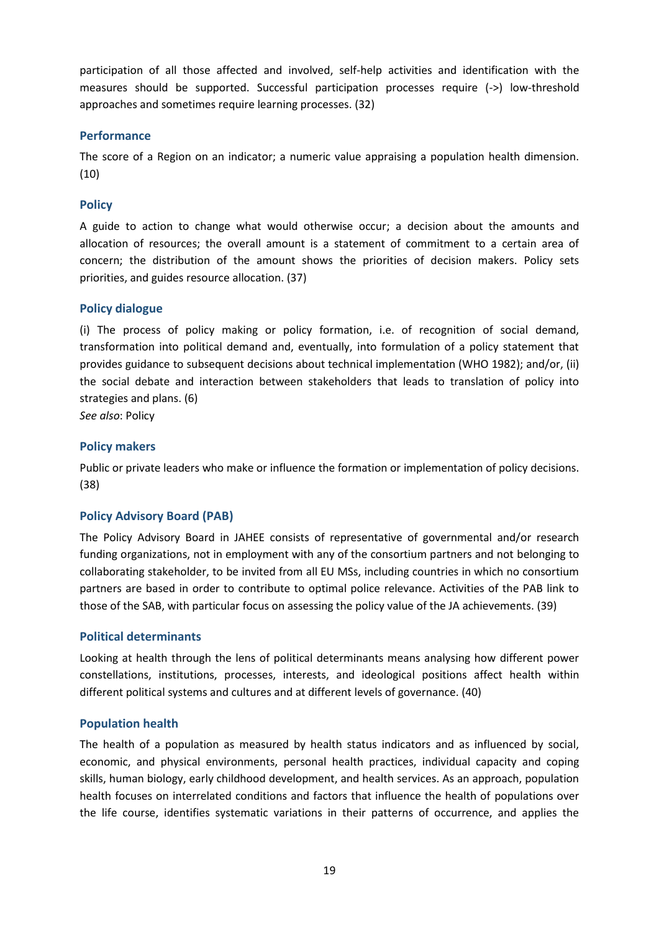participation of all those affected and involved, self-help activities and identification with the measures should be supported. Successful participation processes require (->) low-threshold approaches and sometimes require learning processes. (32)

## <span id="page-18-0"></span>**Performance**

The score of a Region on an indicator; a numeric value appraising a population health dimension. (10)

#### <span id="page-18-1"></span>**Policy**

A guide to action to change what would otherwise occur; a decision about the amounts and allocation of resources; the overall amount is a statement of commitment to a certain area of concern; the distribution of the amount shows the priorities of decision makers. Policy sets priorities, and guides resource allocation. (37)

#### <span id="page-18-2"></span>**Policy dialogue**

(i) The process of policy making or policy formation, i.e. of recognition of social demand, transformation into political demand and, eventually, into formulation of a policy statement that provides guidance to subsequent decisions about technical implementation (WHO 1982); and/or, (ii) the social debate and interaction between stakeholders that leads to translation of policy into strategies and plans. (6)

*See also*: Policy

#### <span id="page-18-3"></span>**Policy makers**

Public or private leaders who make or influence the formation or implementation of policy decisions. (38)

#### <span id="page-18-4"></span>**Policy Advisory Board (PAB)**

The Policy Advisory Board in JAHEE consists of representative of governmental and/or research funding organizations, not in employment with any of the consortium partners and not belonging to collaborating stakeholder, to be invited from all EU MSs, including countries in which no consortium partners are based in order to contribute to optimal police relevance. Activities of the PAB link to those of the SAB, with particular focus on assessing the policy value of the JA achievements. (39)

#### <span id="page-18-5"></span>**Political determinants**

Looking at health through the lens of political determinants means analysing how different power constellations, institutions, processes, interests, and ideological positions affect health within different political systems and cultures and at different levels of governance. (40)

#### <span id="page-18-6"></span>**Population health**

The health of a population as measured by health status indicators and as influenced by social, economic, and physical environments, personal health practices, individual capacity and coping skills, human biology, early childhood development, and health services. As an approach, population health focuses on interrelated conditions and factors that influence the health of populations over the life course, identifies systematic variations in their patterns of occurrence, and applies the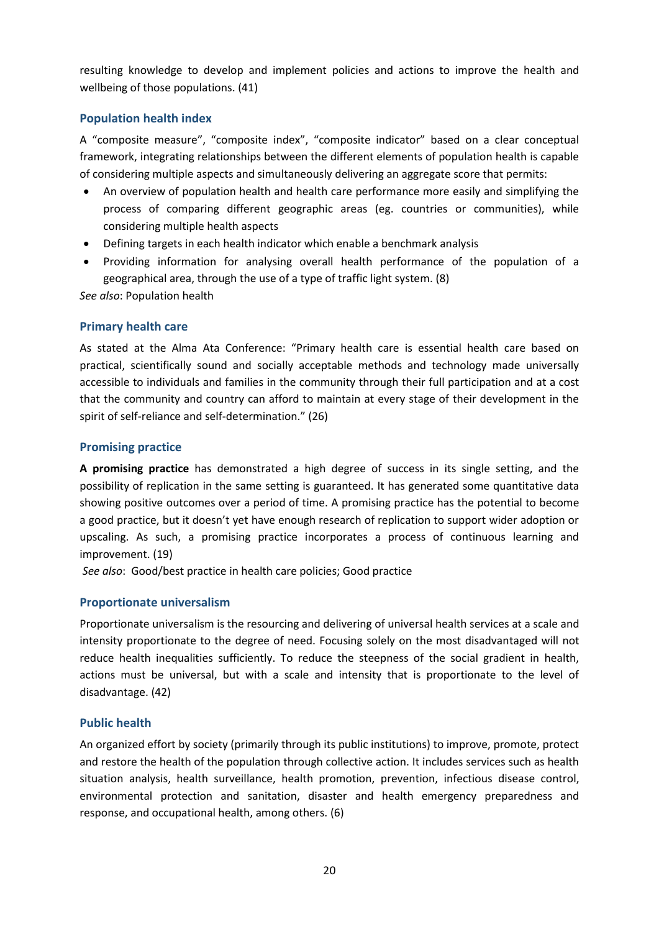resulting knowledge to develop and implement policies and actions to improve the health and wellbeing of those populations. (41)

## <span id="page-19-0"></span>**Population health index**

A "composite measure", "composite index", "composite indicator" based on a clear conceptual framework, integrating relationships between the different elements of population health is capable of considering multiple aspects and simultaneously delivering an aggregate score that permits:

- An overview of population health and health care performance more easily and simplifying the process of comparing different geographic areas (eg. countries or communities), while considering multiple health aspects
- Defining targets in each health indicator which enable a benchmark analysis
- Providing information for analysing overall health performance of the population of a geographical area, through the use of a type of traffic light system. (8)

*See also*: Population health

#### <span id="page-19-1"></span>**Primary health care**

As stated at the Alma Ata Conference: "Primary health care is essential health care based on practical, scientifically sound and socially acceptable methods and technology made universally accessible to individuals and families in the community through their full participation and at a cost that the community and country can afford to maintain at every stage of their development in the spirit of self-reliance and self-determination." (26)

## <span id="page-19-2"></span>**Promising practice**

**A promising practice** has demonstrated a high degree of success in its single setting, and the possibility of replication in the same setting is guaranteed. It has generated some quantitative data showing positive outcomes over a period of time. A promising practice has the potential to become a good practice, but it doesn't yet have enough research of replication to support wider adoption or upscaling. As such, a promising practice incorporates a process of continuous learning and improvement. (19)

*See also*: Good/best practice in health care policies; Good practice

## <span id="page-19-3"></span>**Proportionate universalism**

Proportionate universalism is the resourcing and delivering of universal health services at a scale and intensity proportionate to the degree of need. Focusing solely on the most disadvantaged will not reduce health inequalities sufficiently. To reduce the steepness of the social gradient in health, actions must be universal, but with a scale and intensity that is proportionate to the level of disadvantage. (42)

## <span id="page-19-4"></span>**Public health**

An organized effort by society (primarily through its public institutions) to improve, promote, protect and restore the health of the population through collective action. It includes services such as health situation analysis, health surveillance, health promotion, prevention, infectious disease control, environmental protection and sanitation, disaster and health emergency preparedness and response, and occupational health, among others. (6)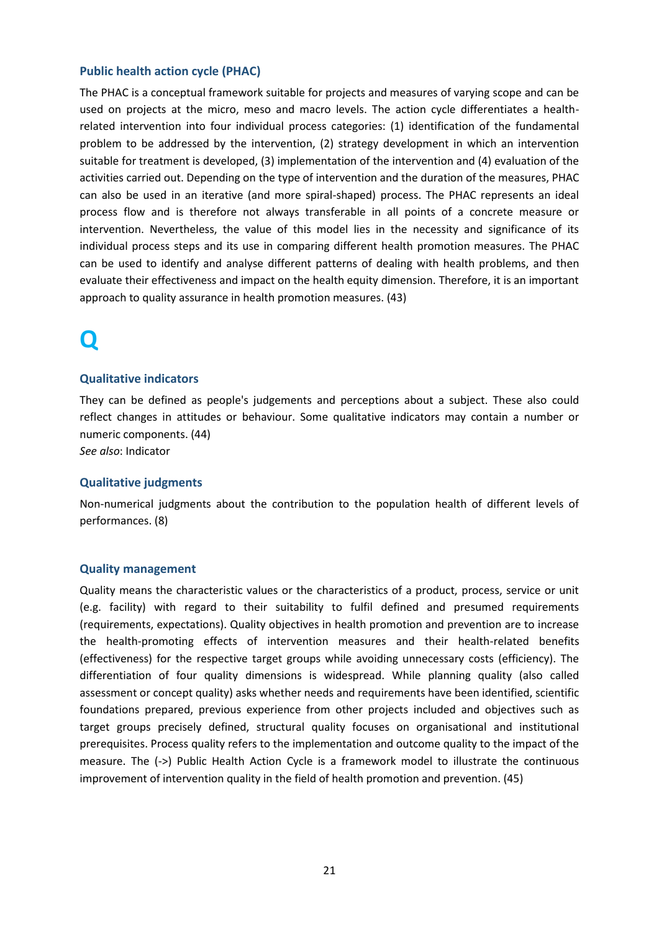#### <span id="page-20-0"></span>**Public health action cycle (PHAC)**

The PHAC is a conceptual framework suitable for projects and measures of varying scope and can be used on projects at the micro, meso and macro levels. The action cycle differentiates a healthrelated intervention into four individual process categories: (1) identification of the fundamental problem to be addressed by the intervention, (2) strategy development in which an intervention suitable for treatment is developed, (3) implementation of the intervention and (4) evaluation of the activities carried out. Depending on the type of intervention and the duration of the measures, PHAC can also be used in an iterative (and more spiral-shaped) process. The PHAC represents an ideal process flow and is therefore not always transferable in all points of a concrete measure or intervention. Nevertheless, the value of this model lies in the necessity and significance of its individual process steps and its use in comparing different health promotion measures. The PHAC can be used to identify and analyse different patterns of dealing with health problems, and then evaluate their effectiveness and impact on the health equity dimension. Therefore, it is an important approach to quality assurance in health promotion measures. (43)

## <span id="page-20-1"></span>**Q**

#### <span id="page-20-2"></span>**Qualitative indicators**

They can be defined as people's judgements and perceptions about a subject. These also could reflect changes in attitudes or behaviour. Some qualitative indicators may contain a number or numeric components. (44)

*See also*: Indicator

#### <span id="page-20-3"></span>**Qualitative judgments**

Non-numerical judgments about the contribution to the population health of different levels of performances. (8)

#### <span id="page-20-4"></span>**Quality management**

Quality means the characteristic values or the characteristics of a product, process, service or unit (e.g. facility) with regard to their suitability to fulfil defined and presumed requirements (requirements, expectations). Quality objectives in health promotion and prevention are to increase the health-promoting effects of intervention measures and their health-related benefits (effectiveness) for the respective target groups while avoiding unnecessary costs (efficiency). The differentiation of four quality dimensions is widespread. While planning quality (also called assessment or concept quality) asks whether needs and requirements have been identified, scientific foundations prepared, previous experience from other projects included and objectives such as target groups precisely defined, structural quality focuses on organisational and institutional prerequisites. Process quality refers to the implementation and outcome quality to the impact of the measure. The (->) Public Health Action Cycle is a framework model to illustrate the continuous improvement of intervention quality in the field of health promotion and prevention. (45)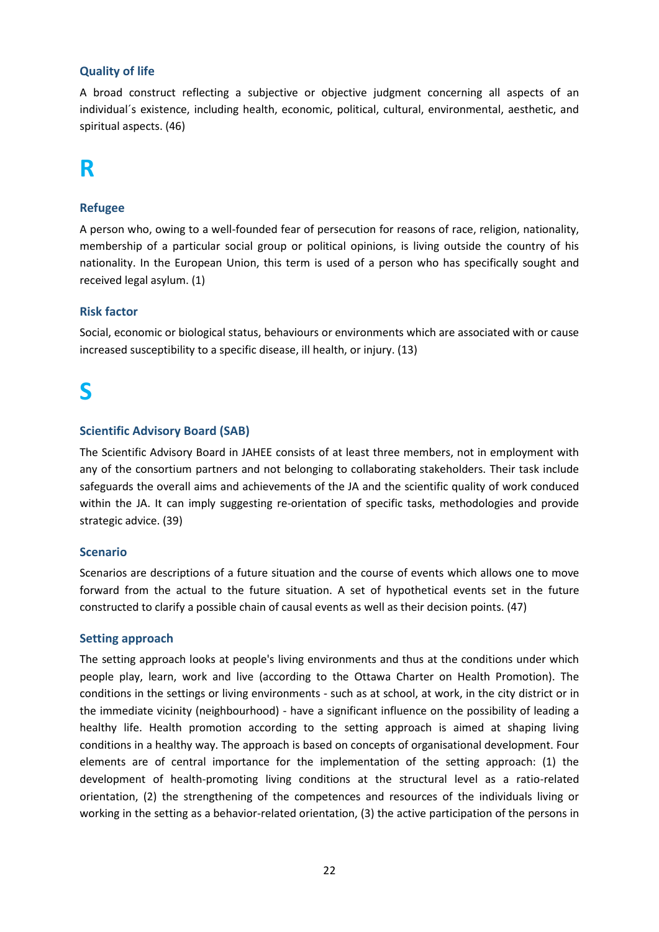## <span id="page-21-0"></span>**Quality of life**

A broad construct reflecting a subjective or objective judgment concerning all aspects of an individual´s existence, including health, economic, political, cultural, environmental, aesthetic, and spiritual aspects. (46)

## <span id="page-21-1"></span>**R**

## <span id="page-21-2"></span>**Refugee**

A person who, owing to a well-founded fear of persecution for reasons of race, religion, nationality, membership of a particular social group or political opinions, is living outside the country of his nationality. In the European Union, this term is used of a person who has specifically sought and received legal asylum. (1)

#### <span id="page-21-3"></span>**Risk factor**

Social, economic or biological status, behaviours or environments which are associated with or cause increased susceptibility to a specific disease, ill health, or injury. (13)

## <span id="page-21-4"></span>**S**

#### <span id="page-21-5"></span>**Scientific Advisory Board (SAB)**

The Scientific Advisory Board in JAHEE consists of at least three members, not in employment with any of the consortium partners and not belonging to collaborating stakeholders. Their task include safeguards the overall aims and achievements of the JA and the scientific quality of work conduced within the JA. It can imply suggesting re-orientation of specific tasks, methodologies and provide strategic advice. (39)

#### <span id="page-21-6"></span>**Scenario**

Scenarios are descriptions of a future situation and the course of events which allows one to move forward from the actual to the future situation. A set of hypothetical events set in the future constructed to clarify a possible chain of causal events as well as their decision points. (47)

#### <span id="page-21-7"></span>**Setting approach**

The setting approach looks at people's living environments and thus at the conditions under which people play, learn, work and live (according to the Ottawa Charter on Health Promotion). The conditions in the settings or living environments - such as at school, at work, in the city district or in the immediate vicinity (neighbourhood) - have a significant influence on the possibility of leading a healthy life. Health promotion according to the setting approach is aimed at shaping living conditions in a healthy way. The approach is based on concepts of organisational development. Four elements are of central importance for the implementation of the setting approach: (1) the development of health-promoting living conditions at the structural level as a ratio-related orientation, (2) the strengthening of the competences and resources of the individuals living or working in the setting as a behavior-related orientation, (3) the active participation of the persons in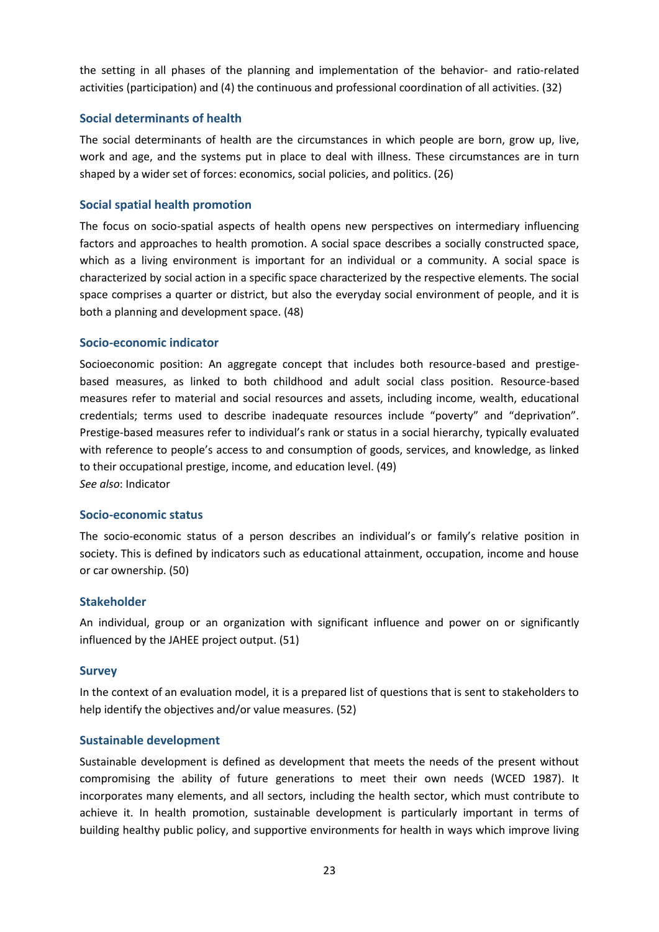the setting in all phases of the planning and implementation of the behavior- and ratio-related activities (participation) and (4) the continuous and professional coordination of all activities. (32)

#### <span id="page-22-0"></span>**Social determinants of health**

The social determinants of health are the circumstances in which people are born, grow up, live, work and age, and the systems put in place to deal with illness. These circumstances are in turn shaped by a wider set of forces: economics, social policies, and politics. (26)

### <span id="page-22-1"></span>**Social spatial health promotion**

The focus on socio-spatial aspects of health opens new perspectives on intermediary influencing factors and approaches to health promotion. A social space describes a socially constructed space, which as a living environment is important for an individual or a community. A social space is characterized by social action in a specific space characterized by the respective elements. The social space comprises a quarter or district, but also the everyday social environment of people, and it is both a planning and development space. (48)

#### <span id="page-22-2"></span>**Socio-economic indicator**

Socioeconomic position: An aggregate concept that includes both resource-based and prestigebased measures, as linked to both childhood and adult social class position. Resource-based measures refer to material and social resources and assets, including income, wealth, educational credentials; terms used to describe inadequate resources include "poverty" and "deprivation". Prestige-based measures refer to individual's rank or status in a social hierarchy, typically evaluated with reference to people's access to and consumption of goods, services, and knowledge, as linked to their occupational prestige, income, and education level. (49) *See also*: Indicator

#### <span id="page-22-3"></span>**Socio-economic status**

The socio-economic status of a person describes an individual's or family's relative position in society. This is defined by indicators such as educational attainment, occupation, income and house or car ownership. (50)

#### <span id="page-22-4"></span>**Stakeholder**

An individual, group or an organization with significant influence and power on or significantly influenced by the JAHEE project output. (51)

#### <span id="page-22-5"></span>**Survey**

In the context of an evaluation model, it is a prepared list of questions that is sent to stakeholders to help identify the objectives and/or value measures. (52)

#### <span id="page-22-6"></span>**Sustainable development**

Sustainable development is defined as development that meets the needs of the present without compromising the ability of future generations to meet their own needs (WCED 1987). It incorporates many elements, and all sectors, including the health sector, which must contribute to achieve it. In health promotion, sustainable development is particularly important in terms of building healthy public policy, and supportive environments for health in ways which improve living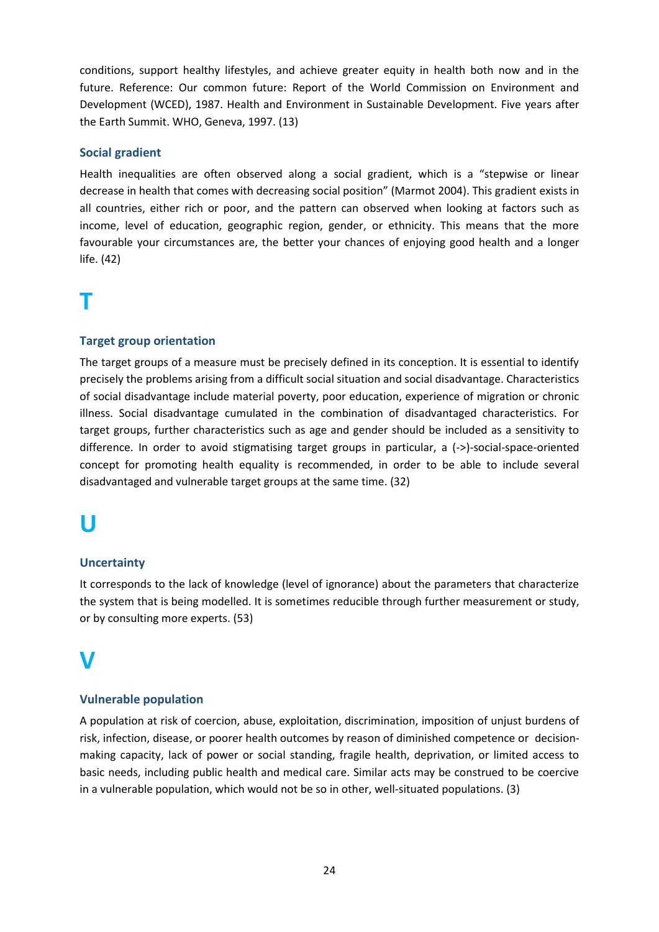conditions, support healthy lifestyles, and achieve greater equity in health both now and in the future. Reference: Our common future: Report of the World Commission on Environment and Development (WCED), 1987. Health and Environment in Sustainable Development. Five years after the Earth Summit. WHO, Geneva, 1997. (13)

## <span id="page-23-0"></span>**Social gradient**

Health inequalities are often observed along a social gradient, which is a "stepwise or linear decrease in health that comes with decreasing social position" (Marmot 2004). This gradient exists in all countries, either rich or poor, and the pattern can observed when looking at factors such as income, level of education, geographic region, gender, or ethnicity. This means that the more favourable your circumstances are, the better your chances of enjoying good health and a longer life. (42)

# <span id="page-23-1"></span>**T**

## <span id="page-23-2"></span>**Target group orientation**

The target groups of a measure must be precisely defined in its conception. It is essential to identify precisely the problems arising from a difficult social situation and social disadvantage. Characteristics of social disadvantage include material poverty, poor education, experience of migration or chronic illness. Social disadvantage cumulated in the combination of disadvantaged characteristics. For target groups, further characteristics such as age and gender should be included as a sensitivity to difference. In order to avoid stigmatising target groups in particular, a (->)-social-space-oriented concept for promoting health equality is recommended, in order to be able to include several disadvantaged and vulnerable target groups at the same time. (32)

## <span id="page-23-3"></span>**U**

## <span id="page-23-4"></span>**Uncertainty**

It corresponds to the lack of knowledge (level of ignorance) about the parameters that characterize the system that is being modelled. It is sometimes reducible through further measurement or study, or by consulting more experts. (53)

# <span id="page-23-5"></span>**V**

## <span id="page-23-6"></span>**Vulnerable population**

A population at risk of coercion, abuse, exploitation, discrimination, imposition of unjust burdens of risk, infection, disease, or poorer health outcomes by reason of diminished competence or decisionmaking capacity, lack of power or social standing, fragile health, deprivation, or limited access to basic needs, including public health and medical care. Similar acts may be construed to be coercive in a vulnerable population, which would not be so in other, well-situated populations. (3)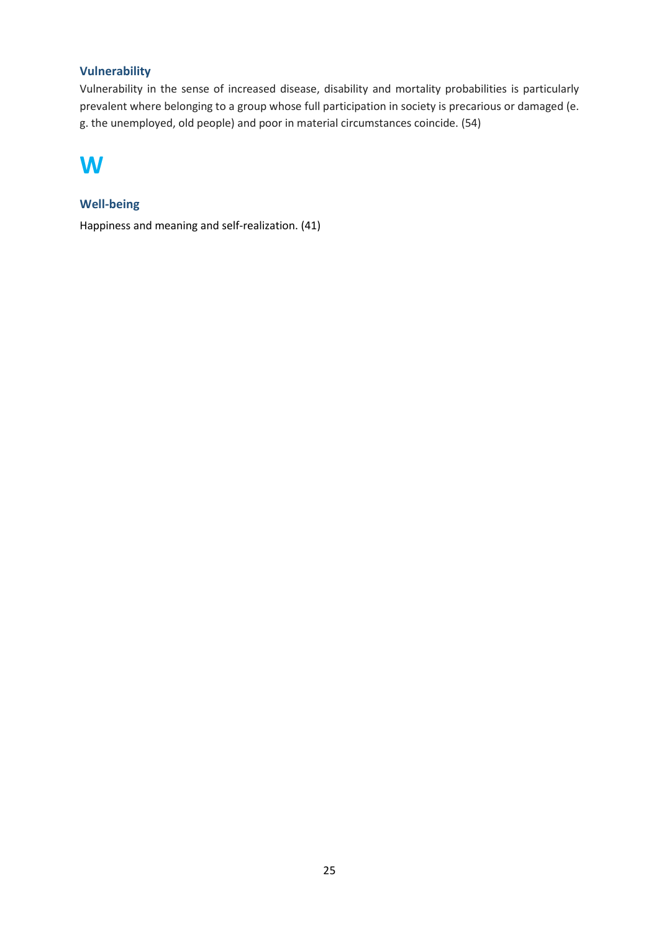## <span id="page-24-0"></span>**Vulnerability**

Vulnerability in the sense of increased disease, disability and mortality probabilities is particularly prevalent where belonging to a group whose full participation in society is precarious or damaged (e. g. the unemployed, old people) and poor in material circumstances coincide. (54)

## <span id="page-24-1"></span>**W**

## <span id="page-24-2"></span>**Well-being**

Happiness and meaning and self-realization. (41)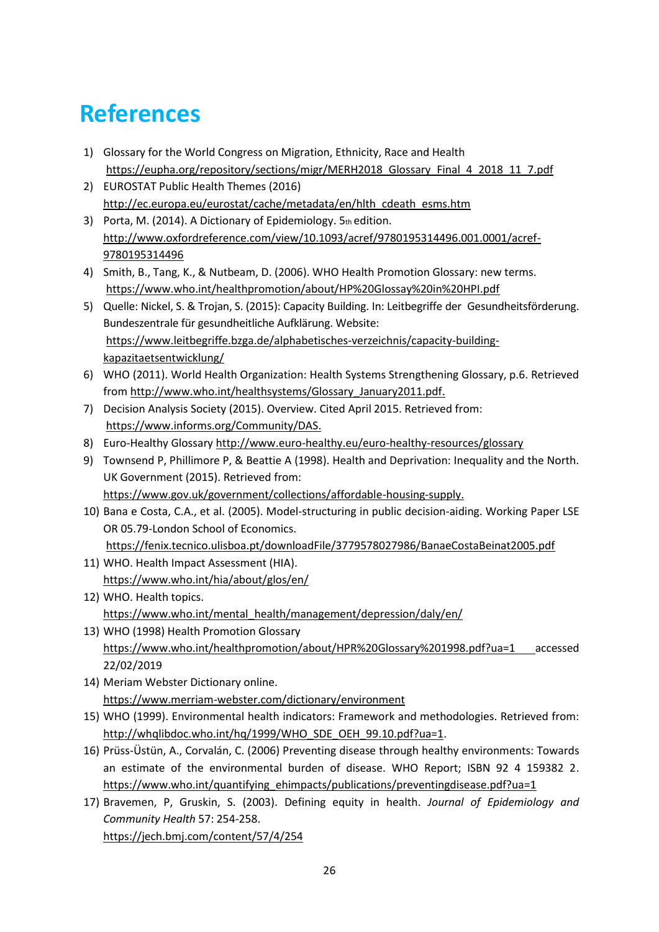# <span id="page-25-0"></span>**References**

- 1) Glossary for the World Congress on Migration, Ethnicity, Race and Health [https://eupha.org/repository/sections/migr/MERH2018\\_Glossary\\_Final\\_4\\_2018\\_11\\_7.pdf](https://eupha.org/repository/sections/migr/MERH2018_Glossary_Final_4_2018_11_7.pdf)
- 2) EUROSTAT Public Health Themes (2016) [http://ec.europa.eu/eurostat/cache/metadata/en/hlth\\_cdeath\\_esms.htm](http://ec.europa.eu/eurostat/cache/metadata/en/hlth_cdeath_esms.htm)
- 3) Porta, M. (2014). A Dictionary of Epidemiology. 5th edition. [http://www.oxfordreference.com/view/10.1093/acref/9780195314496.001.0001/acref-](http://www.oxfordreference.com/view/10.1093/acref/9780195314496.001.0001/acref-9780195314496)[9780195314496](http://www.oxfordreference.com/view/10.1093/acref/9780195314496.001.0001/acref-9780195314496)
- 4) Smith, B., Tang, K., & Nutbeam, D. (2006). WHO Health Promotion Glossary: new terms. <https://www.who.int/healthpromotion/about/HP%20Glossay%20in%20HPI.pdf>
- 5) Quelle: Nickel, S. & Trojan, S. (2015): Capacity Building. In: Leitbegriffe der Gesundheitsförderung. Bundeszentrale für gesundheitliche Aufklärung. Website: [https://www.leitbegriffe.bzga.de/alphabetisches-verzeichnis/capacity-building](https://www.leitbegriffe.bzga.de/alphabetisches-verzeichnis/capacity-building-kapazitaetsentwicklung/)[kapazitaetsentwicklung/](https://www.leitbegriffe.bzga.de/alphabetisches-verzeichnis/capacity-building-kapazitaetsentwicklung/)
- 6) WHO (2011). World Health Organization: Health Systems Strengthening Glossary, p.6. Retrieved fro[m http://www.who.int/healthsystems/Glossary\\_January2011.pdf.](http://www.who.int/healthsystems/Glossary_January2011.pdf)
- 7) Decision Analysis Society (2015). Overview. Cited April 2015. Retrieved from: [https://www.informs.org/Community/DAS.](https://www.informs.org/Community/DAS)
- 8) Euro-Healthy Glossary<http://www.euro-healthy.eu/euro-healthy-resources/glossary>
- 9) Townsend P, Phillimore P, & Beattie A (1998). Health and Deprivation: Inequality and the North. UK Government (2015). Retrieved from: [https://www.gov.uk/government/collections/affordable-housing-supply.](https://www.gov.uk/government/collections/affordable-housing-supply)
- 10) Bana e Costa, C.A., et al. (2005). Model-structuring in public decision-aiding. Working Paper LSE OR 05.79-London School of Economics. <https://fenix.tecnico.ulisboa.pt/downloadFile/3779578027986/BanaeCostaBeinat2005.pdf>
- 11) WHO. Health Impact Assessment (HIA). <https://www.who.int/hia/about/glos/en/>
- 12) WHO. Health topics. [https://www.who.int/mental\\_health/management/depression/daly/en/](https://www.who.int/mental_health/management/depression/daly/en/)
- 13) WHO (1998) Health Promotion Glossary <https://www.who.int/healthpromotion/about/HPR%20Glossary%201998.pdf?ua=1> accessed 22/02/2019
- 14) Meriam Webster Dictionary online. <https://www.merriam-webster.com/dictionary/environment>
- 15) WHO (1999). Environmental health indicators: Framework and methodologies. Retrieved from: [http://whqlibdoc.who.int/hq/1999/WHO\\_SDE\\_OEH\\_99.10.pdf?ua=1.](http://whqlibdoc.who.int/hq/1999/WHO_SDE_OEH_99.10.pdf?ua=1)
- 16) Prüss-Üstün, A., Corvalán, C. (2006) Preventing disease through healthy environments: Towards an estimate of the environmental burden of disease. WHO Report; ISBN 92 4 159382 2. [https://www.who.int/quantifying\\_ehimpacts/publications/preventingdisease.pdf?ua=1](https://www.who.int/quantifying_ehimpacts/publications/preventingdisease.pdf?ua=1)
- 17) Bravemen, P, Gruskin, S. (2003). Defining equity in health. *Journal of Epidemiology and Community Health* 57: 254-258. <https://jech.bmj.com/content/57/4/254>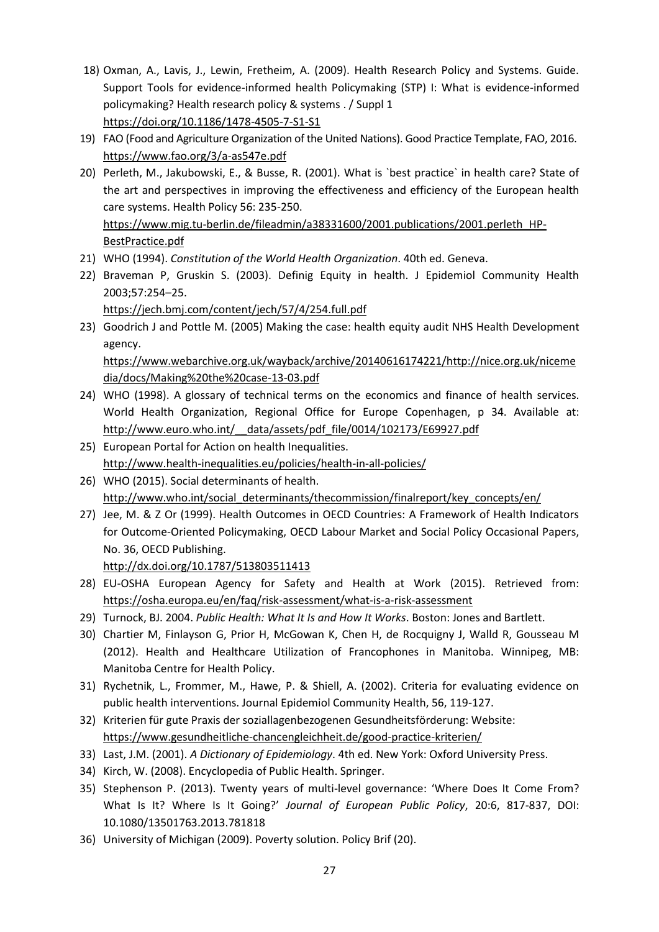- 18) Oxman, A., Lavis, J., Lewin, Fretheim, A. (2009). Health Research Policy and Systems. Guide. Support Tools for evidence-informed health Policymaking (STP) I: What is evidence-informed policymaking? Health research policy & systems . / Suppl 1 <https://doi.org/10.1186/1478-4505-7-S1-S1>
- 19) FAO (Food and Agriculture Organization of the United Nations). Good Practice Template, FAO, 2016. <https://www.fao.org/3/a-as547e.pdf>
- 20) Perleth, M., Jakubowski, E., & Busse, R. (2001). What is `best practice` in health care? State of the art and perspectives in improving the effectiveness and efficiency of the European health care systems. Health Policy 56: 235-250. [https://www.mig.tu-berlin.de/fileadmin/a38331600/2001.publications/2001.perleth\\_HP-](https://www.mig.tu-berlin.de/fileadmin/a38331600/2001.publications/2001.perleth_HP-BestPractice.pdf)

[BestPractice.pdf](https://www.mig.tu-berlin.de/fileadmin/a38331600/2001.publications/2001.perleth_HP-BestPractice.pdf)

- 21) WHO (1994). *Constitution of the World Health Organization*. 40th ed. Geneva.
- 22) Braveman P, Gruskin S. (2003). Definig Equity in health. J Epidemiol Community Health 2003;57:254–25.

<https://jech.bmj.com/content/jech/57/4/254.full.pdf>

- 23) Goodrich J and Pottle M. (2005) Making the case: health equity audit NHS Health Development agency. [https://www.webarchive.org.uk/wayback/archive/20140616174221/http://nice.org.uk/niceme](https://www.webarchive.org.uk/wayback/archive/20140616174221/http:/nice.org.uk/nicemedia/docs/Making%20the%20case-13-03.pdf)
- [dia/docs/Making%20the%20case-13-03.pdf](https://www.webarchive.org.uk/wayback/archive/20140616174221/http:/nice.org.uk/nicemedia/docs/Making%20the%20case-13-03.pdf) 24) WHO (1998). A glossary of technical terms on the economics and finance of health services. World Health Organization, Regional Office for Europe Copenhagen, p 34. Available at: http://www.euro.who.int/ data/assets/pdf\_file/0014/102173/E69927.pdf
- 25) European Portal for Action on health Inequalities. <http://www.health-inequalities.eu/policies/health-in-all-policies/>
- 26) WHO (2015). Social determinants of health. [http://www.who.int/social\\_determinants/thecommission/finalreport/key\\_concepts/en/](http://www.who.int/social_determinants/thecommission/finalreport/key_concepts/en/)
- 27) Jee, M. & Z Or (1999). Health Outcomes in OECD Countries: A Framework of Health Indicators for Outcome-Oriented Policymaking, OECD Labour Market and Social Policy Occasional Papers, No. 36, OECD Publishing.

<http://dx.doi.org/10.1787/513803511413>

- 28) EU-OSHA European Agency for Safety and Health at Work (2015). Retrieved from: <https://osha.europa.eu/en/faq/risk-assessment/what-is-a-risk-assessment>
- 29) Turnock, BJ. 2004. *Public Health: What It Is and How It Works*. Boston: Jones and Bartlett.
- 30) Chartier M, Finlayson G, Prior H, McGowan K, Chen H, de Rocquigny J, Walld R, Gousseau M (2012). Health and Healthcare Utilization of Francophones in Manitoba. Winnipeg, MB: Manitoba Centre for Health Policy.
- 31) Rychetnik, L., Frommer, M., Hawe, P. & Shiell, A. (2002). Criteria for evaluating evidence on public health interventions. Journal Epidemiol Community Health, 56, 119-127.
- 32) Kriterien für gute Praxis der soziallagenbezogenen Gesundheitsförderung: Website: <https://www.gesundheitliche-chancengleichheit.de/good-practice-kriterien/>
- 33) Last, J.M. (2001). *A Dictionary of Epidemiology*. 4th ed. New York: Oxford University Press.
- 34) Kirch, W. (2008). Encyclopedia of Public Health. Springer.
- 35) Stephenson P. (2013). Twenty years of multi-level governance: 'Where Does It Come From? What Is It? Where Is It Going?' *Journal of European Public Policy*, 20:6, 817-837, DOI: [10.1080/13501763.2013.781818](https://doi.org/10.1080/13501763.2013.781818)
- 36) University of Michigan (2009). Poverty solution. Policy Brif (20).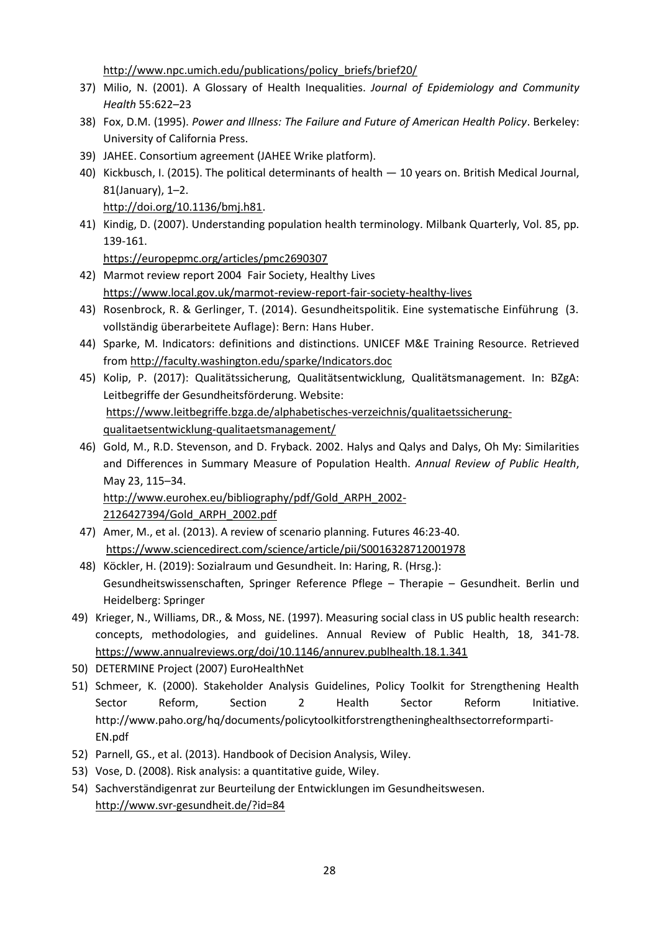[http://www.npc.umich.edu/publications/policy\\_briefs/brief20/](http://www.npc.umich.edu/publications/policy_briefs/brief20/)

- 37) Milio, N. (2001). A Glossary of Health Inequalities. *Journal of Epidemiology and Community Health* 55:622–23
- 38) Fox, D.M. (1995). *Power and Illness: The Failure and Future of American Health Policy*. Berkeley: University of California Press.
- 39) JAHEE. Consortium agreement (JAHEE Wrike platform).
- 40) Kickbusch, I. (2015). The political determinants of health 10 years on. British Medical Journal, 81(January), 1–2.

[http://doi.org/10.1136/bmj.h81.](http://doi.org/10.1136/bmj.h81)

41) Kindig, D. (2007). Understanding population health terminology. Milbank Quarterly, Vol. 85, pp. 139-161.

<https://europepmc.org/articles/pmc2690307>

- 42) Marmot review report 2004 Fair Society, Healthy Lives <https://www.local.gov.uk/marmot-review-report-fair-society-healthy-lives>
- 43) Rosenbrock, R. & Gerlinger, T. (2014). Gesundheitspolitik. Eine systematische Einführung (3. vollständig überarbeitete Auflage): Bern: Hans Huber.
- 44) Sparke, M. Indicators: definitions and distinctions. UNICEF M&E Training Resource. Retrieved fro[m http://faculty.washington.edu/sparke/Indicators.doc](http://faculty.washington.edu/sparke/Indicators.doc)
- 45) Kolip, P. (2017): Qualitätssicherung, Qualitätsentwicklung, Qualitätsmanagement. In: BZgA: Leitbegriffe der Gesundheitsförderung. Website: [https://www.leitbegriffe.bzga.de/alphabetisches-verzeichnis/qualitaetssicherung](https://www.leitbegriffe.bzga.de/alphabetisches-verzeichnis/qualitaetssicherung-qualitaetsentwicklung-qualitaetsmanagement/)[qualitaetsentwicklung-qualitaetsmanagement/](https://www.leitbegriffe.bzga.de/alphabetisches-verzeichnis/qualitaetssicherung-qualitaetsentwicklung-qualitaetsmanagement/)
- 46) Gold, M., R.D. Stevenson, and D. Fryback. 2002. Halys and Qalys and Dalys, Oh My: Similarities and Differences in Summary Measure of Population Health. *Annual Review of Public Health*, May 23, 115–34. [http://www.eurohex.eu/bibliography/pdf/Gold\\_ARPH\\_2002-](http://www.eurohex.eu/bibliography/pdf/Gold_ARPH_2002-2126427394/Gold_ARPH_2002.pdf)

[2126427394/Gold\\_ARPH\\_2002.pdf](http://www.eurohex.eu/bibliography/pdf/Gold_ARPH_2002-2126427394/Gold_ARPH_2002.pdf)

- 47) Amer, M., et al. (2013). A review of scenario planning. Futures 46:23-40. <https://www.sciencedirect.com/science/article/pii/S0016328712001978>
- 48) Köckler, H. (2019): Sozialraum und Gesundheit. In: Haring, R. (Hrsg.): Gesundheitswissenschaften, Springer Reference Pflege – Therapie – Gesundheit. Berlin und Heidelberg: Springer
- 49) Krieger, N., Williams, DR., & Moss, NE. (1997). Measuring social class in US public health research: concepts, methodologies, and guidelines. Annual Review of Public Health, 18, 341-78. <https://www.annualreviews.org/doi/10.1146/annurev.publhealth.18.1.341>
- 50) DETERMINE Project (2007) EuroHealthNet
- 51) Schmeer, K. (2000). Stakeholder Analysis Guidelines, Policy Toolkit for Strengthening Health Sector Reform, Section 2 Health Sector Reform Initiative. http://www.paho.org/hq/documents/policytoolkitforstrengtheninghealthsectorreformparti-EN.pdf
- 52) Parnell, GS., et al. (2013). Handbook of Decision Analysis, Wiley.
- 53) Vose, D. (2008). Risk analysis: a quantitative guide, Wiley.
- 54) Sachverständigenrat zur Beurteilung der Entwicklungen im Gesundheitswesen. <http://www.svr-gesundheit.de/?id=84>